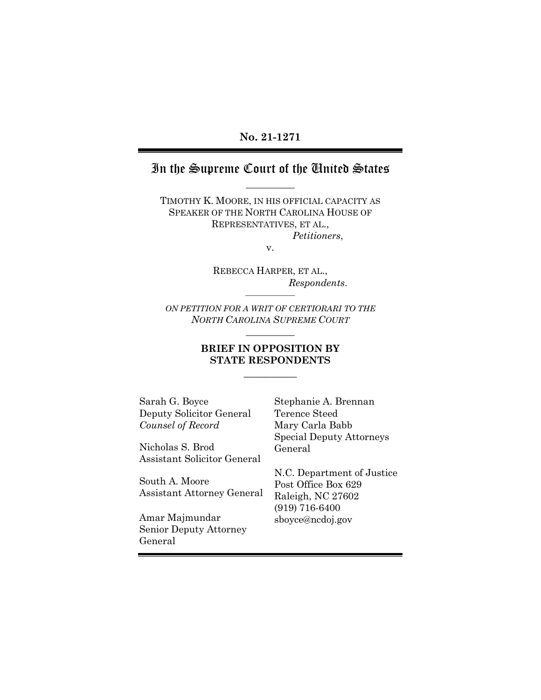#### **No. 21-1271**

## In the Supreme Court of the United States **\_\_\_\_\_\_\_\_\_\_**

TIMOTHY K. MOORE, IN HIS OFFICIAL CAPACITY AS SPEAKER OF THE NORTH CAROLINA HOUSE OF REPRESENTATIVES, ET AL., *Petitioners*,

v.

REBECCA HARPER, ET AL., *Respondents*.

*ON PETITION FOR A WRIT OF CERTIORARI TO THE NORTH CAROLINA SUPREME COURT* **\_\_\_\_\_\_\_\_\_\_**

**\_\_\_\_\_\_\_\_\_\_\_\_\_\_**

#### **BRIEF IN OPPOSITION BY STATE RESPONDENTS**

**\_\_\_\_\_\_\_\_\_\_**

Sarah G. Boyce Deputy Solicitor General *Counsel of Record*

Nicholas S. Brod Assistant Solicitor General

South A. Moore Assistant Attorney General

Amar Majmundar Senior Deputy Attorney General

Stephanie A. Brennan Terence Steed Mary Carla Babb Special Deputy Attorneys General

N.C. Department of Justice Post Office Box 629 Raleigh, NC 27602 (919) 716-6400 sboyce@ncdoj.gov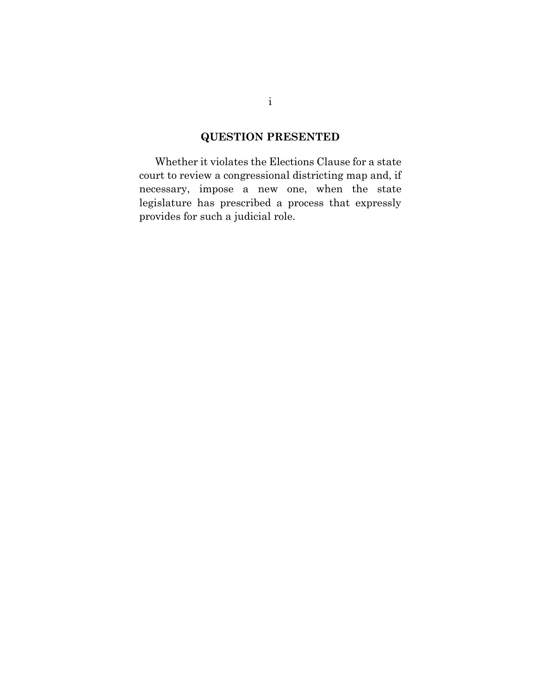## **QUESTION PRESENTED**

Whether it violates the Elections Clause for a state court to review a congressional districting map and, if necessary, impose a new one, when the state legislature has prescribed a process that expressly provides for such a judicial role.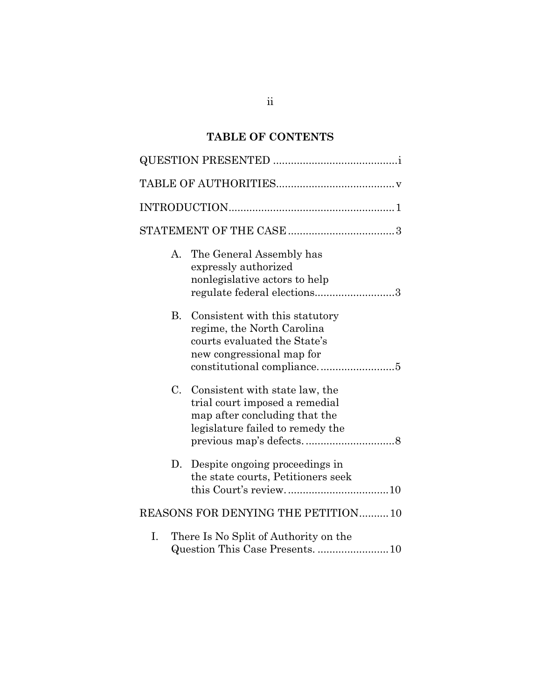## **TABLE OF CONTENTS**

|             | $\label{thm:opt} \textsc{INTRODUCTION}.\textcolor{gray}{.}\textcolor{gray}{.}\textsc{1}$                                              |  |  |
|-------------|---------------------------------------------------------------------------------------------------------------------------------------|--|--|
|             |                                                                                                                                       |  |  |
| А.          | The General Assembly has<br>expressly authorized<br>nonlegislative actors to help<br>regulate federal elections3                      |  |  |
| B.          | Consistent with this statutory<br>regime, the North Carolina<br>courts evaluated the State's<br>new congressional map for             |  |  |
| $C_{\cdot}$ | Consistent with state law, the<br>trial court imposed a remedial<br>map after concluding that the<br>legislature failed to remedy the |  |  |
| D.          | Despite ongoing proceedings in<br>the state courts, Petitioners seek                                                                  |  |  |
|             | REASONS FOR DENYING THE PETITION10                                                                                                    |  |  |
| Ι.          | There Is No Split of Authority on the<br>Question This Case Presents. 10                                                              |  |  |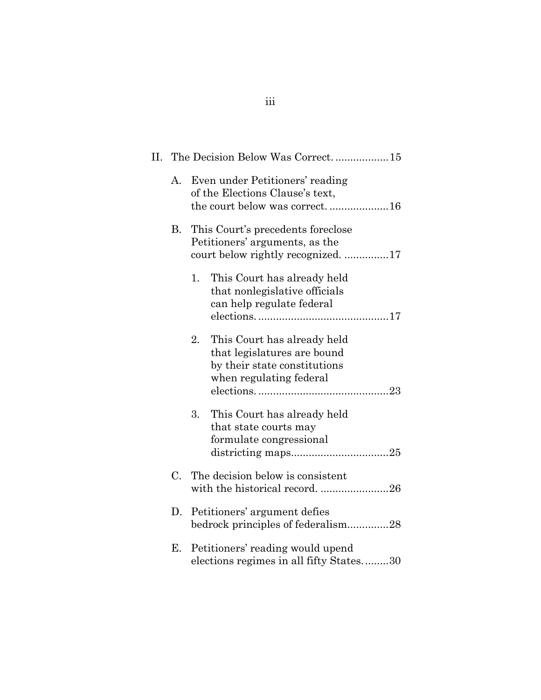|    | II. The Decision Below Was Correct15                                                                    |                                                                                                                       |
|----|---------------------------------------------------------------------------------------------------------|-----------------------------------------------------------------------------------------------------------------------|
| A. |                                                                                                         | Even under Petitioners' reading<br>of the Elections Clause's text,<br>the court below was correct16                   |
| В. | This Court's precedents foreclose<br>Petitioners' arguments, as the<br>court below rightly recognized17 |                                                                                                                       |
|    | 1.                                                                                                      | This Court has already held<br>that nonlegislative officials<br>can help regulate federal                             |
|    | 2.                                                                                                      | This Court has already held<br>that legislatures are bound<br>by their state constitutions<br>when regulating federal |
|    | 3.                                                                                                      | This Court has already held<br>that state courts may<br>formulate congressional                                       |
| C. |                                                                                                         | The decision below is consistent<br>with the historical record26                                                      |
| D. |                                                                                                         | Petitioners' argument defies<br>bedrock principles of federalism28                                                    |
| Е. |                                                                                                         | Petitioners' reading would upend<br>elections regimes in all fifty States30                                           |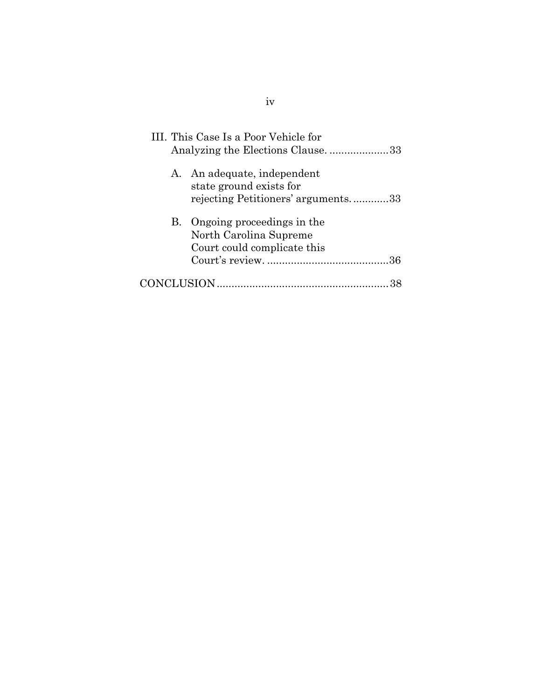| III. This Case Is a Poor Vehicle for<br>Analyzing the Elections Clause33                     |
|----------------------------------------------------------------------------------------------|
| A. An adequate, independent<br>state ground exists for<br>rejecting Petitioners' arguments33 |
| B. Ongoing proceedings in the<br>North Carolina Supreme<br>Court could complicate this       |
|                                                                                              |

iv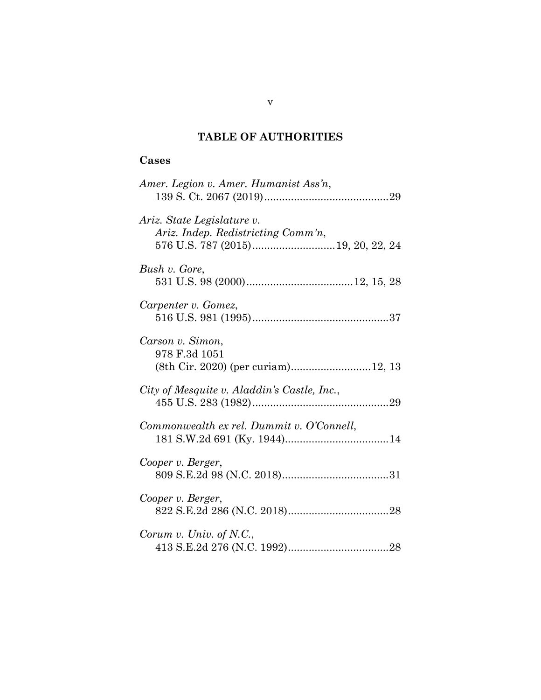## **TABLE OF AUTHORITIES**

## **Cases**

| Amer. Legion v. Amer. Humanist Ass'n,                                   |
|-------------------------------------------------------------------------|
| Ariz. State Legislature v.<br>Ariz. Indep. Redistricting Comm'n,        |
| Bush v. Gore,                                                           |
| Carpenter v. Gomez,                                                     |
| Carson v. Simon,<br>978 F.3d 1051<br>(8th Cir. 2020) (per curiam)12, 13 |
| City of Mesquite v. Aladdin's Castle, Inc.,                             |
| Commonwealth ex rel. Dummit v. O'Connell,                               |
| Cooper v. Berger,                                                       |
| Cooper v. Berger,                                                       |
| Corum v. Univ. of N.C.,                                                 |

v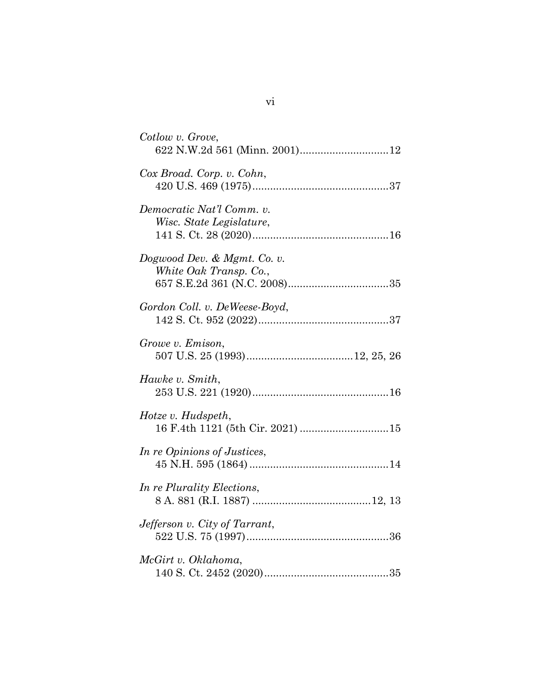| Cotlow v. Grove,                                         |
|----------------------------------------------------------|
| Cox Broad. Corp. v. Cohn,                                |
| Democratic Nat'l Comm. v.<br>Wisc. State Legislature,    |
| Dogwood Dev. $\&$ Mgmt. Co. v.<br>White Oak Transp. Co., |
| Gordon Coll. v. DeWeese-Boyd,                            |
| Growe v. Emison,                                         |
| Hawke v. Smith,                                          |
| Hotze v. Hudspeth,                                       |
| In re Opinions of Justices,                              |
| In re Plurality Elections,                               |
| Jefferson v. City of Tarrant,                            |
| McGirt v. Oklahoma,                                      |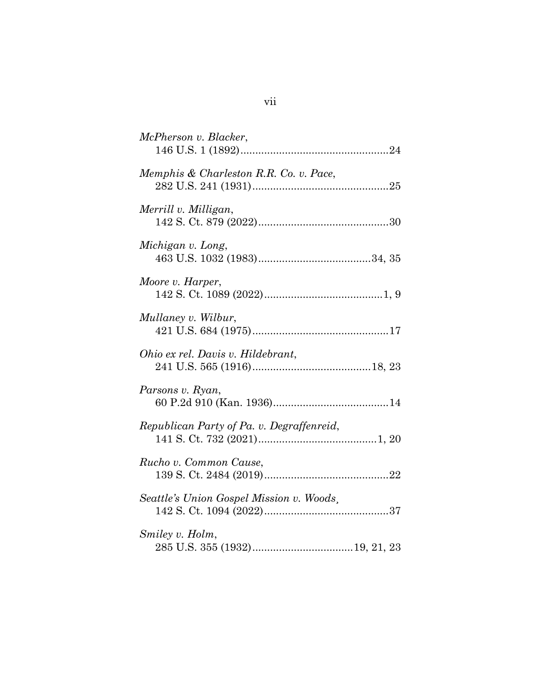| McPherson v. Blacker,                     |
|-------------------------------------------|
| Memphis & Charleston R.R. Co. v. Pace,    |
| Merrill v. Milligan,                      |
| Michigan v. Long,                         |
| Moore v. Harper,                          |
| Mullaney v. Wilbur,                       |
| Ohio ex rel. Davis v. Hildebrant,         |
| Parsons v. Ryan,                          |
| Republican Party of Pa. v. Degraffenreid, |
| Rucho v. Common Cause,                    |
| Seattle's Union Gospel Mission v. Woods,  |
| Smiley v. Holm,                           |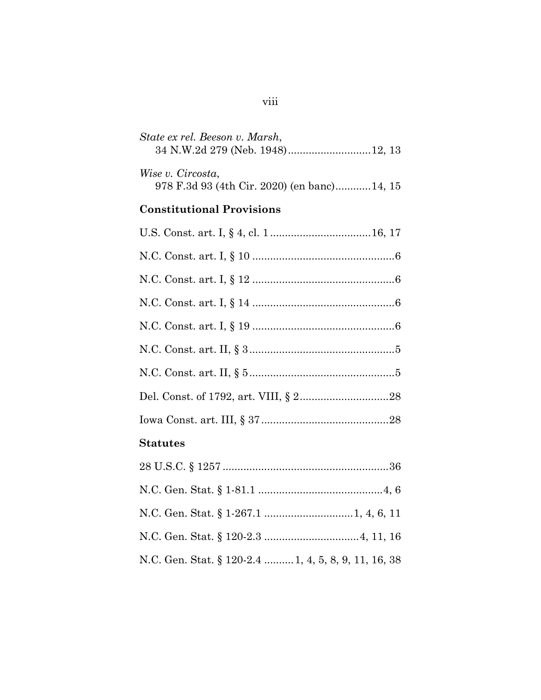| State ex rel. Beeson v. Marsh,                                   |
|------------------------------------------------------------------|
| Wise v. Circosta,<br>978 F.3d 93 (4th Cir. 2020) (en banc)14, 15 |
| <b>Constitutional Provisions</b>                                 |
|                                                                  |
|                                                                  |
|                                                                  |
|                                                                  |
|                                                                  |
|                                                                  |
|                                                                  |
|                                                                  |
|                                                                  |
| <b>Statutes</b>                                                  |
|                                                                  |
|                                                                  |
|                                                                  |
|                                                                  |
| N.C. Gen. Stat. § 120-2.4  1, 4, 5, 8, 9, 11, 16, 38             |

# viii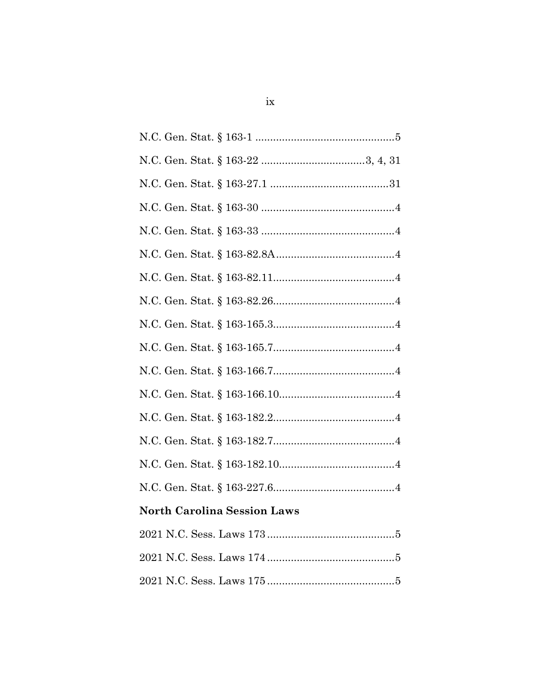| <b>North Carolina Session Laws</b> |
|------------------------------------|
|                                    |
|                                    |
|                                    |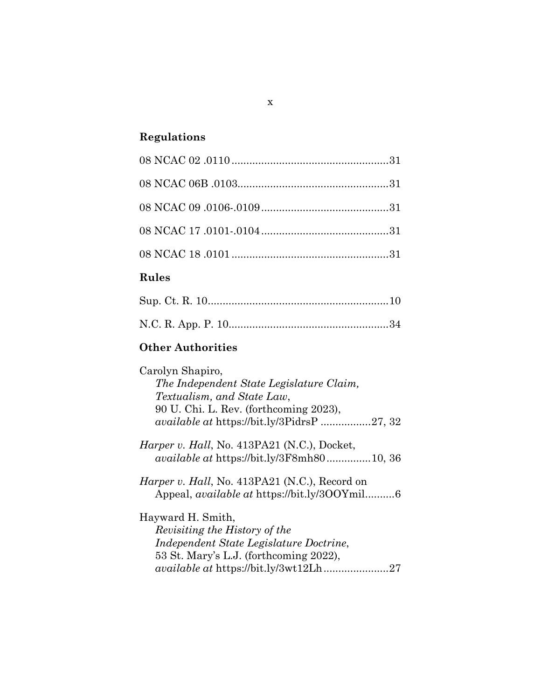# **Regulations**

| $\mathbf{D}_{\text{relax}}$ |  |
|-----------------------------|--|
|                             |  |
|                             |  |
|                             |  |
|                             |  |
|                             |  |

## **Rules**

## **Other Authorities**

| Carolyn Shapiro,                                      |
|-------------------------------------------------------|
| The Independent State Legislature Claim,              |
| Textualism, and State Law,                            |
| 90 U. Chi. L. Rev. (forthcoming 2023),                |
| <i>available at https://bit.ly/3PidrsP 27, 32</i>     |
| <i>Harper v. Hall</i> , No. 413PA21 (N.C.), Docket,   |
| <i>available at https://bit.ly/3F8mh8010, 36</i>      |
| <i>Harper v. Hall</i> , No. 413PA21 (N.C.), Record on |
| Appeal, <i>available at</i> https://bit.ly/300Ymil6   |
| Hayward H. Smith,                                     |
| Revisiting the History of the                         |
| Independent State Legislature Doctrine,               |
| 53 St. Mary's L.J. (forthcoming 2022),                |
| <i>available at https://bit.ly/3wt12Lh27</i>          |
|                                                       |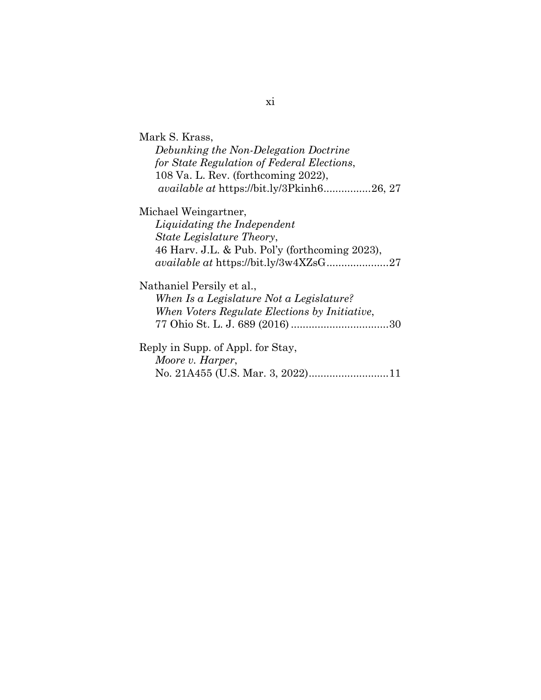| Mark S. Krass,                                   |
|--------------------------------------------------|
| Debunking the Non-Delegation Doctrine            |
| for State Regulation of Federal Elections,       |
| 108 Va. L. Rev. (forthcoming 2022),              |
| <i>available at https://bit.ly/3Pkinh626, 27</i> |
| Michael Weingartner,                             |
| Liquidating the Independent                      |
| <i>State Legislature Theory,</i>                 |
| 46 Harv. J.L. & Pub. Pol'y (forthcoming 2023),   |
| available at https://bit.ly/3w4XZsG27            |
| Nathaniel Persily et al.,                        |
| When Is a Legislature Not a Legislature?         |
| When Voters Regulate Elections by Initiative,    |
|                                                  |
| Reply in Supp. of Appl. for Stay,                |
| Moore v. Harper,                                 |
|                                                  |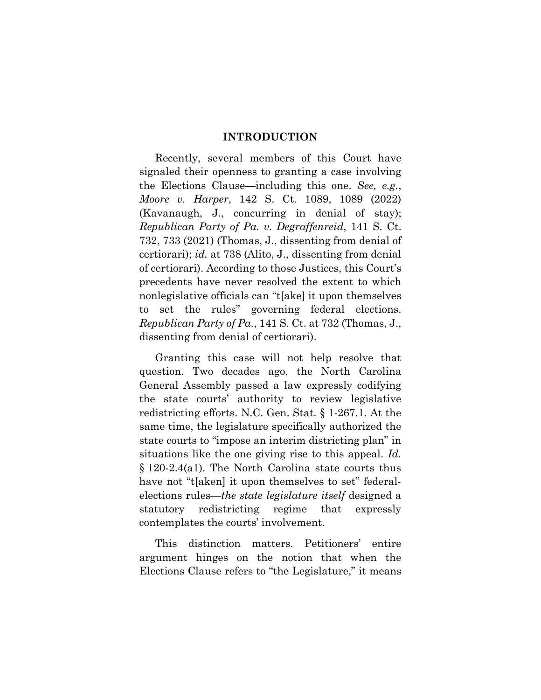#### **INTRODUCTION**

Recently, several members of this Court have signaled their openness to granting a case involving the Elections Clause—including this one. *See, e.g.*, *Moore v. Harper*, 142 S. Ct. 1089, 1089 (2022) (Kavanaugh, J., concurring in denial of stay); *Republican Party of Pa. v. Degraffenreid*, 141 S. Ct. 732, 733 (2021) (Thomas, J., dissenting from denial of certiorari); *id.* at 738 (Alito, J., dissenting from denial of certiorari). According to those Justices, this Court's precedents have never resolved the extent to which nonlegislative officials can "t[ake] it upon themselves to set the rules" governing federal elections. *Republican Party of Pa.*, 141 S. Ct. at 732 (Thomas, J., dissenting from denial of certiorari).

Granting this case will not help resolve that question. Two decades ago, the North Carolina General Assembly passed a law expressly codifying the state courts' authority to review legislative redistricting efforts. N.C. Gen. Stat. § 1-267.1. At the same time, the legislature specifically authorized the state courts to "impose an interim districting plan" in situations like the one giving rise to this appeal. *Id.* § 120-2.4(a1). The North Carolina state courts thus have not "t[aken] it upon themselves to set" federalelections rules—*the state legislature itself* designed a statutory redistricting regime that expressly contemplates the courts' involvement.

This distinction matters. Petitioners' entire argument hinges on the notion that when the Elections Clause refers to "the Legislature," it means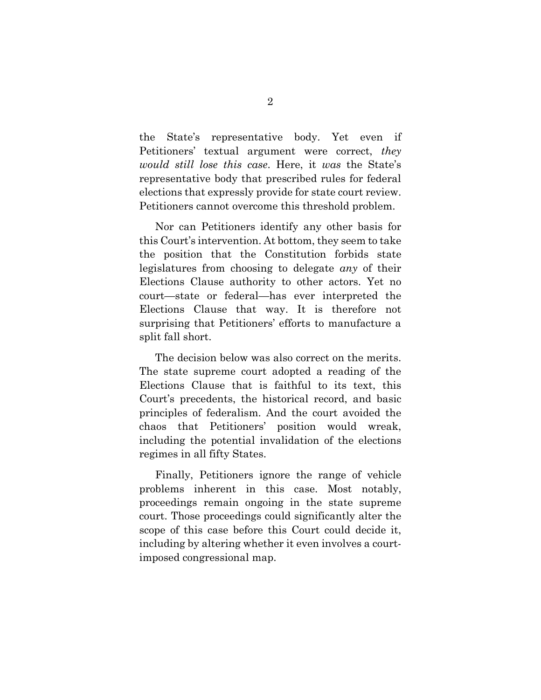the State's representative body. Yet even if Petitioners' textual argument were correct, *they would still lose this case*. Here, it *was* the State's representative body that prescribed rules for federal elections that expressly provide for state court review. Petitioners cannot overcome this threshold problem.

Nor can Petitioners identify any other basis for this Court's intervention. At bottom, they seem to take the position that the Constitution forbids state legislatures from choosing to delegate *any* of their Elections Clause authority to other actors. Yet no court—state or federal—has ever interpreted the Elections Clause that way. It is therefore not surprising that Petitioners' efforts to manufacture a split fall short.

The decision below was also correct on the merits. The state supreme court adopted a reading of the Elections Clause that is faithful to its text, this Court's precedents, the historical record, and basic principles of federalism. And the court avoided the chaos that Petitioners' position would wreak, including the potential invalidation of the elections regimes in all fifty States.

Finally, Petitioners ignore the range of vehicle problems inherent in this case. Most notably, proceedings remain ongoing in the state supreme court. Those proceedings could significantly alter the scope of this case before this Court could decide it, including by altering whether it even involves a courtimposed congressional map.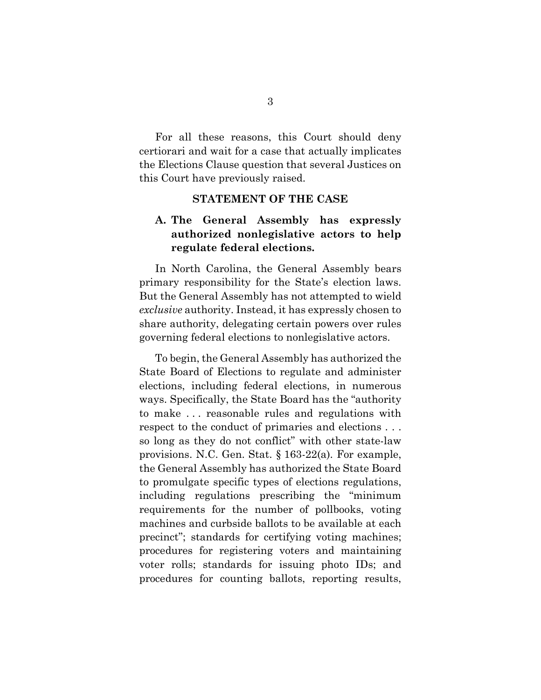For all these reasons, this Court should deny certiorari and wait for a case that actually implicates the Elections Clause question that several Justices on this Court have previously raised.

#### **STATEMENT OF THE CASE**

## **A. The General Assembly has expressly authorized nonlegislative actors to help regulate federal elections.**

In North Carolina, the General Assembly bears primary responsibility for the State's election laws. But the General Assembly has not attempted to wield *exclusive* authority. Instead, it has expressly chosen to share authority, delegating certain powers over rules governing federal elections to nonlegislative actors.

To begin, the General Assembly has authorized the State Board of Elections to regulate and administer elections, including federal elections, in numerous ways. Specifically, the State Board has the "authority to make . . . reasonable rules and regulations with respect to the conduct of primaries and elections . . . so long as they do not conflict" with other state-law provisions. N.C. Gen. Stat. § 163-22(a). For example, the General Assembly has authorized the State Board to promulgate specific types of elections regulations, including regulations prescribing the "minimum requirements for the number of pollbooks, voting machines and curbside ballots to be available at each precinct"; standards for certifying voting machines; procedures for registering voters and maintaining voter rolls; standards for issuing photo IDs; and procedures for counting ballots, reporting results,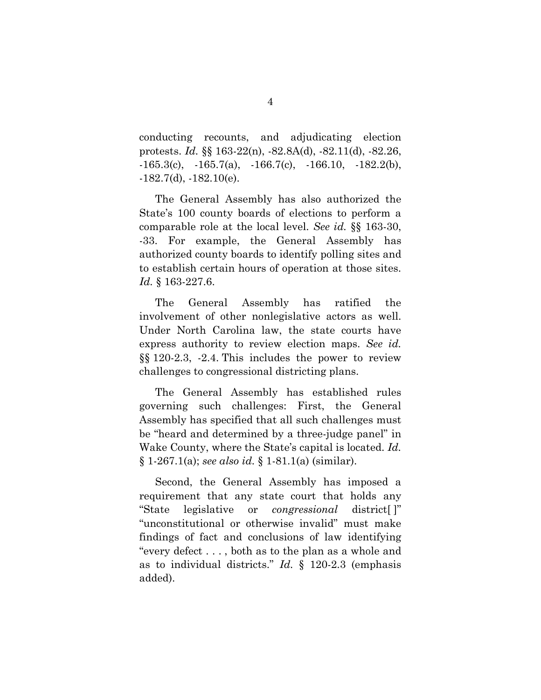conducting recounts, and adjudicating election protests. *Id.* §§ 163-22(n), -82.8A(d), -82.11(d), -82.26,  $-165.3(c), -165.7(a), -166.7(c), -166.10, -182.2(b),$  $-182.7(d)$ ,  $-182.10(e)$ .

The General Assembly has also authorized the State's 100 county boards of elections to perform a comparable role at the local level. *See id.* §§ 163-30, -33. For example, the General Assembly has authorized county boards to identify polling sites and to establish certain hours of operation at those sites. *Id.* § 163-227.6.

The General Assembly has ratified the involvement of other nonlegislative actors as well. Under North Carolina law, the state courts have express authority to review election maps. *See id.* §§ 120-2.3, -2.4. This includes the power to review challenges to congressional districting plans.

The General Assembly has established rules governing such challenges: First, the General Assembly has specified that all such challenges must be "heard and determined by a three-judge panel" in Wake County, where the State's capital is located. *Id.* § 1-267.1(a); *see also id.* § 1-81.1(a) (similar).

Second, the General Assembly has imposed a requirement that any state court that holds any "State legislative or *congressional* district[ ]" "unconstitutional or otherwise invalid" must make findings of fact and conclusions of law identifying "every defect . . . , both as to the plan as a whole and as to individual districts." *Id.* § 120-2.3 (emphasis added).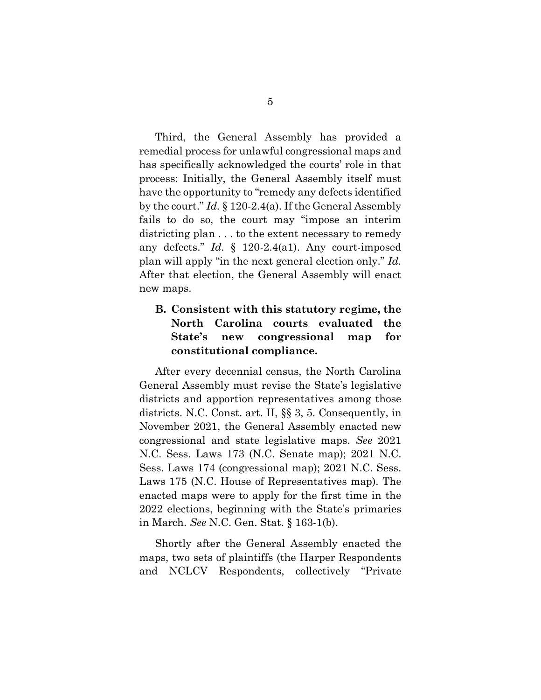Third, the General Assembly has provided a remedial process for unlawful congressional maps and has specifically acknowledged the courts' role in that process: Initially, the General Assembly itself must have the opportunity to "remedy any defects identified by the court." *Id.* § 120-2.4(a). If the General Assembly fails to do so, the court may "impose an interim districting plan . . . to the extent necessary to remedy any defects." *Id.* § 120-2.4(a1). Any court-imposed plan will apply "in the next general election only." *Id.* After that election, the General Assembly will enact new maps.

## **B. Consistent with this statutory regime, the North Carolina courts evaluated the State's new congressional map for constitutional compliance.**

After every decennial census, the North Carolina General Assembly must revise the State's legislative districts and apportion representatives among those districts. N.C. Const. art. II, §§ 3, 5. Consequently, in November 2021, the General Assembly enacted new congressional and state legislative maps. *See* 2021 N.C. Sess. Laws 173 (N.C. Senate map); 2021 N.C. Sess. Laws 174 (congressional map); 2021 N.C. Sess. Laws 175 (N.C. House of Representatives map). The enacted maps were to apply for the first time in the 2022 elections, beginning with the State's primaries in March. *See* N.C. Gen. Stat. § 163-1(b).

Shortly after the General Assembly enacted the maps, two sets of plaintiffs (the Harper Respondents and NCLCV Respondents, collectively "Private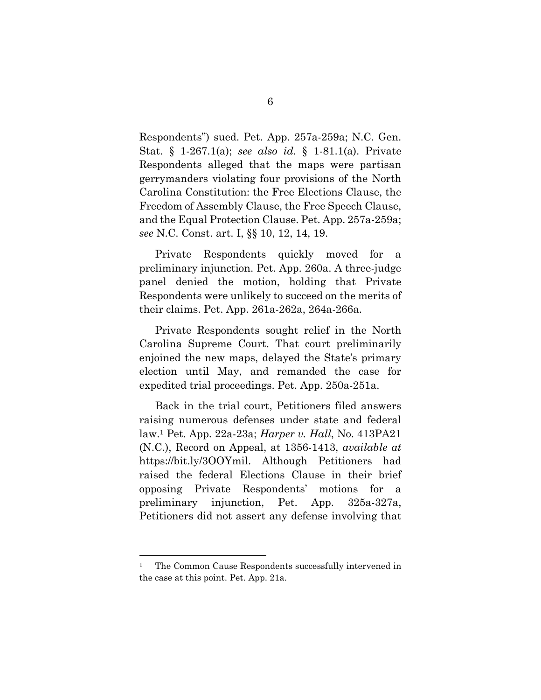Respondents") sued. Pet. App. 257a-259a; N.C. Gen. Stat. § 1-267.1(a); *see also id.* § 1-81.1(a). Private Respondents alleged that the maps were partisan gerrymanders violating four provisions of the North Carolina Constitution: the Free Elections Clause, the Freedom of Assembly Clause, the Free Speech Clause, and the Equal Protection Clause. Pet. App. 257a-259a; *see* N.C. Const. art. I, §§ 10, 12, 14, 19.

Private Respondents quickly moved for a preliminary injunction. Pet. App. 260a. A three-judge panel denied the motion, holding that Private Respondents were unlikely to succeed on the merits of their claims. Pet. App. 261a-262a, 264a-266a.

Private Respondents sought relief in the North Carolina Supreme Court. That court preliminarily enjoined the new maps, delayed the State's primary election until May, and remanded the case for expedited trial proceedings. Pet. App. 250a-251a.

Back in the trial court, Petitioners filed answers raising numerous defenses under state and federal law.1 Pet. App. 22a-23a; *Harper v. Hall*, No. 413PA21 (N.C.), Record on Appeal, at 1356-1413, *available at* https://bit.ly/3OOYmil. Although Petitioners had raised the federal Elections Clause in their brief opposing Private Respondents' motions for a preliminary injunction, Pet. App. 325a-327a, Petitioners did not assert any defense involving that

 $\ddot{\phantom{a}}$ 

<sup>&</sup>lt;sup>1</sup> The Common Cause Respondents successfully intervened in the case at this point. Pet. App. 21a.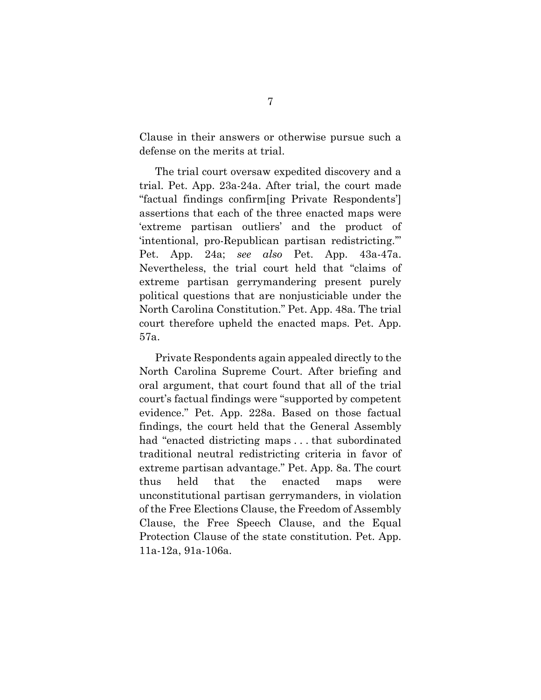Clause in their answers or otherwise pursue such a defense on the merits at trial.

The trial court oversaw expedited discovery and a trial. Pet. App. 23a-24a. After trial, the court made "factual findings confirm[ing Private Respondents'] assertions that each of the three enacted maps were 'extreme partisan outliers' and the product of 'intentional, pro-Republican partisan redistricting.'" Pet. App. 24a; *see also* Pet. App. 43a-47a. Nevertheless, the trial court held that "claims of extreme partisan gerrymandering present purely political questions that are nonjusticiable under the North Carolina Constitution." Pet. App. 48a. The trial court therefore upheld the enacted maps. Pet. App. 57a.

Private Respondents again appealed directly to the North Carolina Supreme Court. After briefing and oral argument, that court found that all of the trial court's factual findings were "supported by competent evidence." Pet. App. 228a. Based on those factual findings, the court held that the General Assembly had "enacted districting maps . . . that subordinated traditional neutral redistricting criteria in favor of extreme partisan advantage." Pet. App. 8a. The court thus held that the enacted maps were unconstitutional partisan gerrymanders, in violation of the Free Elections Clause, the Freedom of Assembly Clause, the Free Speech Clause, and the Equal Protection Clause of the state constitution. Pet. App. 11a-12a, 91a-106a.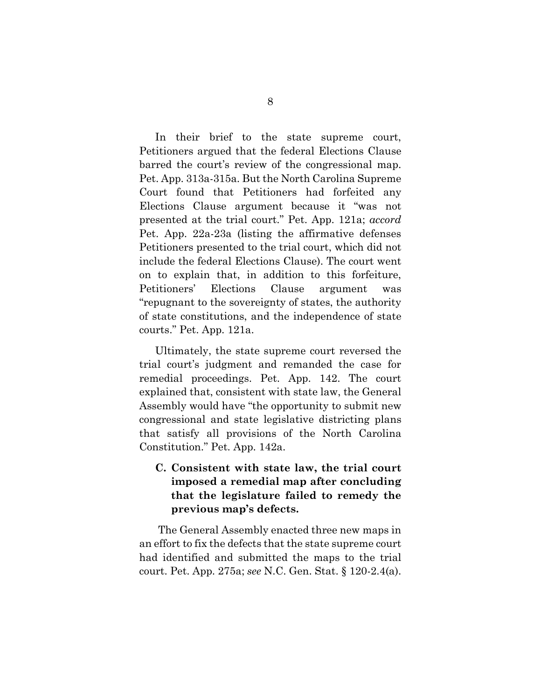In their brief to the state supreme court, Petitioners argued that the federal Elections Clause barred the court's review of the congressional map. Pet. App. 313a-315a. But the North Carolina Supreme Court found that Petitioners had forfeited any Elections Clause argument because it "was not presented at the trial court." Pet. App. 121a; *accord* Pet. App. 22a-23a (listing the affirmative defenses Petitioners presented to the trial court, which did not include the federal Elections Clause). The court went on to explain that, in addition to this forfeiture, Petitioners' Elections Clause argument was "repugnant to the sovereignty of states, the authority of state constitutions, and the independence of state courts." Pet. App. 121a.

Ultimately, the state supreme court reversed the trial court's judgment and remanded the case for remedial proceedings. Pet. App. 142. The court explained that, consistent with state law, the General Assembly would have "the opportunity to submit new congressional and state legislative districting plans that satisfy all provisions of the North Carolina Constitution." Pet. App. 142a.

## **C. Consistent with state law, the trial court imposed a remedial map after concluding that the legislature failed to remedy the previous map's defects.**

The General Assembly enacted three new maps in an effort to fix the defects that the state supreme court had identified and submitted the maps to the trial court. Pet. App. 275a; *see* N.C. Gen. Stat. § 120-2.4(a).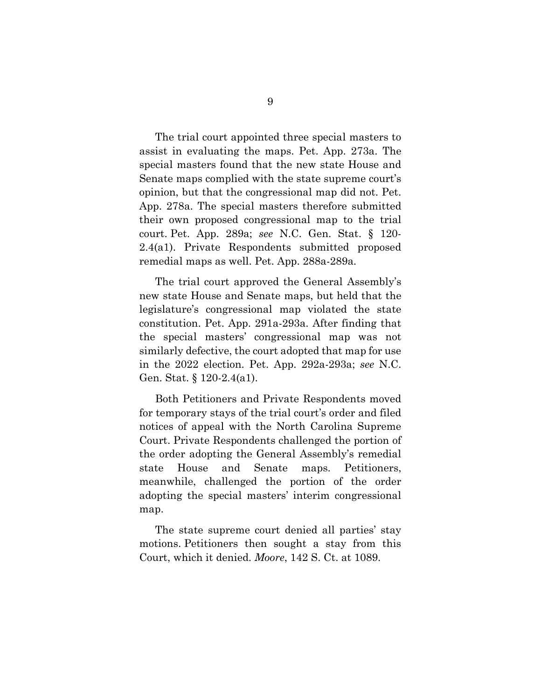The trial court appointed three special masters to assist in evaluating the maps. Pet. App. 273a. The special masters found that the new state House and Senate maps complied with the state supreme court's opinion, but that the congressional map did not. Pet. App. 278a. The special masters therefore submitted their own proposed congressional map to the trial court. Pet. App. 289a; *see* N.C. Gen. Stat. § 120- 2.4(a1). Private Respondents submitted proposed remedial maps as well. Pet. App. 288a-289a.

The trial court approved the General Assembly's new state House and Senate maps, but held that the legislature's congressional map violated the state constitution. Pet. App. 291a-293a. After finding that the special masters' congressional map was not similarly defective, the court adopted that map for use in the 2022 election. Pet. App. 292a-293a; *see* N.C. Gen. Stat. § 120-2.4(a1).

Both Petitioners and Private Respondents moved for temporary stays of the trial court's order and filed notices of appeal with the North Carolina Supreme Court. Private Respondents challenged the portion of the order adopting the General Assembly's remedial state House and Senate maps. Petitioners, meanwhile, challenged the portion of the order adopting the special masters' interim congressional map.

The state supreme court denied all parties' stay motions. Petitioners then sought a stay from this Court, which it denied. *Moore*, 142 S. Ct. at 1089.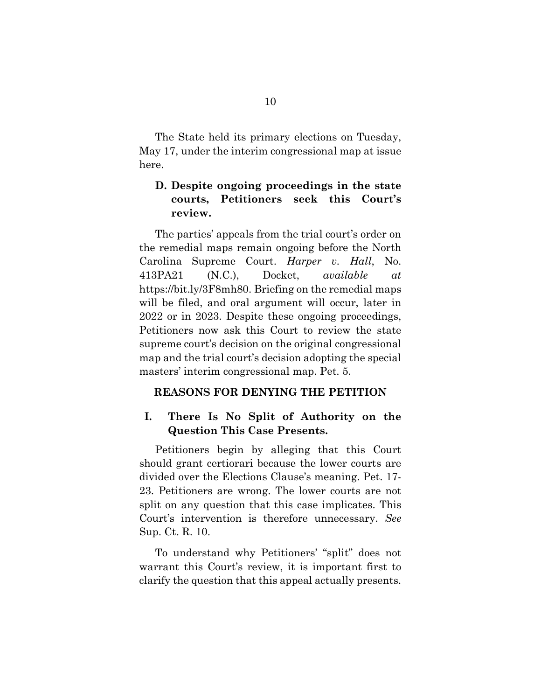The State held its primary elections on Tuesday, May 17, under the interim congressional map at issue here.

### **D. Despite ongoing proceedings in the state courts, Petitioners seek this Court's review.**

The parties' appeals from the trial court's order on the remedial maps remain ongoing before the North Carolina Supreme Court. *Harper v. Hall*, No. 413PA21 (N.C.), Docket, *available at* https://bit.ly/3F8mh80. Briefing on the remedial maps will be filed, and oral argument will occur, later in 2022 or in 2023. Despite these ongoing proceedings, Petitioners now ask this Court to review the state supreme court's decision on the original congressional map and the trial court's decision adopting the special masters' interim congressional map. Pet. 5.

#### **REASONS FOR DENYING THE PETITION**

### **I. There Is No Split of Authority on the Question This Case Presents.**

Petitioners begin by alleging that this Court should grant certiorari because the lower courts are divided over the Elections Clause's meaning. Pet. 17- 23. Petitioners are wrong. The lower courts are not split on any question that this case implicates. This Court's intervention is therefore unnecessary. *See*  Sup. Ct. R. 10.

To understand why Petitioners' "split" does not warrant this Court's review, it is important first to clarify the question that this appeal actually presents.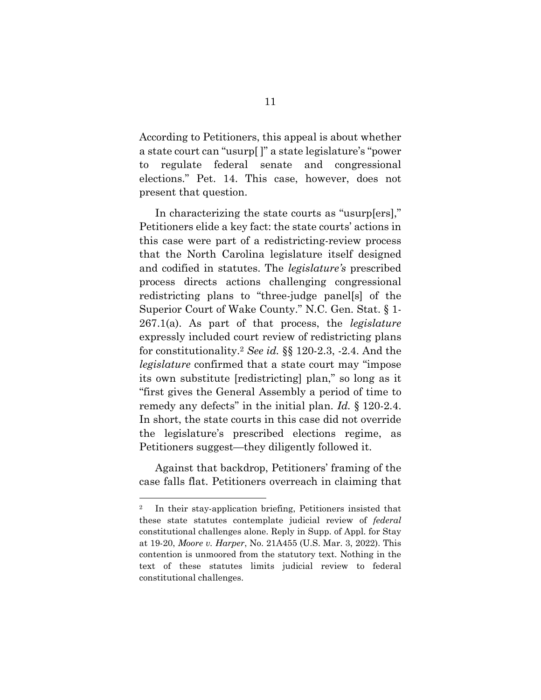According to Petitioners, this appeal is about whether a state court can "usurp[ ]" a state legislature's "power to regulate federal senate and congressional elections." Pet. 14. This case, however, does not present that question.

In characterizing the state courts as "usurp[ers]," Petitioners elide a key fact: the state courts' actions in this case were part of a redistricting-review process that the North Carolina legislature itself designed and codified in statutes. The *legislature's* prescribed process directs actions challenging congressional redistricting plans to "three-judge panel[s] of the Superior Court of Wake County." N.C. Gen. Stat. § 1- 267.1(a). As part of that process, the *legislature* expressly included court review of redistricting plans for constitutionality.2 *See id.* §§ 120-2.3, -2.4. And the *legislature* confirmed that a state court may "impose its own substitute [redistricting] plan," so long as it "first gives the General Assembly a period of time to remedy any defects" in the initial plan. *Id.* § 120-2.4. In short, the state courts in this case did not override the legislature's prescribed elections regime, as Petitioners suggest—they diligently followed it.

Against that backdrop, Petitioners' framing of the case falls flat. Petitioners overreach in claiming that

 $\ddot{\phantom{a}}$ 

<sup>2</sup> In their stay-application briefing, Petitioners insisted that these state statutes contemplate judicial review of *federal* constitutional challenges alone. Reply in Supp. of Appl. for Stay at 19-20, *Moore v. Harper*, No. 21A455 (U.S. Mar. 3, 2022). This contention is unmoored from the statutory text. Nothing in the text of these statutes limits judicial review to federal constitutional challenges.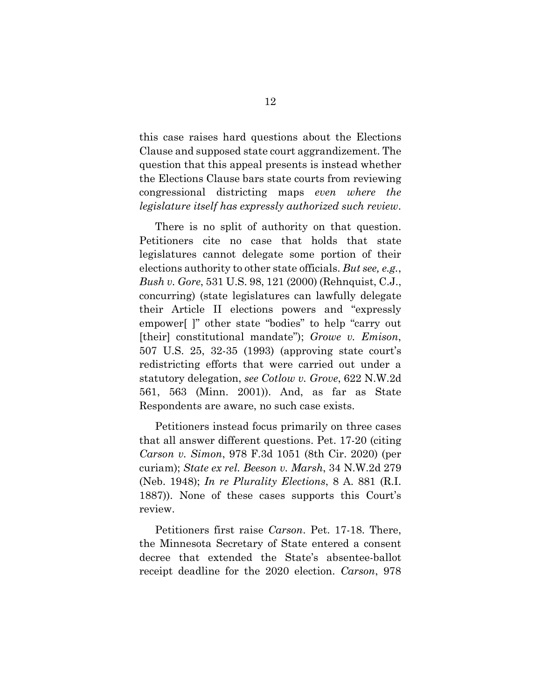this case raises hard questions about the Elections Clause and supposed state court aggrandizement. The question that this appeal presents is instead whether the Elections Clause bars state courts from reviewing congressional districting maps *even where the legislature itself has expressly authorized such review*.

There is no split of authority on that question. Petitioners cite no case that holds that state legislatures cannot delegate some portion of their elections authority to other state officials. *But see, e.g.*, *Bush v. Gore*, 531 U.S. 98, 121 (2000) (Rehnquist, C.J., concurring) (state legislatures can lawfully delegate their Article II elections powers and "expressly empower[ ]" other state "bodies" to help "carry out [their] constitutional mandate"); *Growe v. Emison*, 507 U.S. 25, 32-35 (1993) (approving state court's redistricting efforts that were carried out under a statutory delegation, *see Cotlow v. Grove*, 622 N.W.2d 561, 563 (Minn. 2001)). And, as far as State Respondents are aware, no such case exists.

Petitioners instead focus primarily on three cases that all answer different questions. Pet. 17-20 (citing *Carson v. Simon*, 978 F.3d 1051 (8th Cir. 2020) (per curiam); *State ex rel. Beeson v. Marsh*, 34 N.W.2d 279 (Neb. 1948); *In re Plurality Elections*, 8 A. 881 (R.I. 1887)). None of these cases supports this Court's review.

Petitioners first raise *Carson*. Pet. 17-18. There, the Minnesota Secretary of State entered a consent decree that extended the State's absentee-ballot receipt deadline for the 2020 election. *Carson*, 978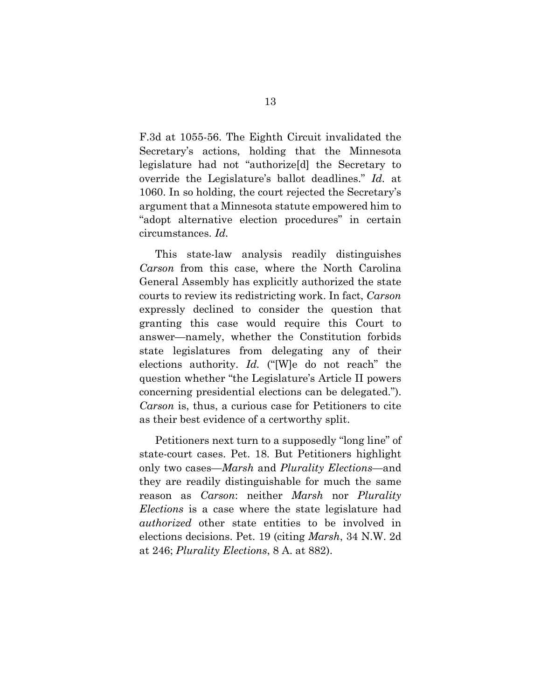F.3d at 1055-56. The Eighth Circuit invalidated the Secretary's actions, holding that the Minnesota legislature had not "authorize[d] the Secretary to override the Legislature's ballot deadlines." *Id.* at 1060. In so holding, the court rejected the Secretary's argument that a Minnesota statute empowered him to "adopt alternative election procedures" in certain circumstances. *Id.*

This state-law analysis readily distinguishes *Carson* from this case, where the North Carolina General Assembly has explicitly authorized the state courts to review its redistricting work. In fact, *Carson* expressly declined to consider the question that granting this case would require this Court to answer—namely, whether the Constitution forbids state legislatures from delegating any of their elections authority. *Id.* ("[W]e do not reach" the question whether "the Legislature's Article II powers concerning presidential elections can be delegated."). *Carson* is, thus, a curious case for Petitioners to cite as their best evidence of a certworthy split.

Petitioners next turn to a supposedly "long line" of state-court cases. Pet. 18. But Petitioners highlight only two cases—*Marsh* and *Plurality Elections*—and they are readily distinguishable for much the same reason as *Carson*: neither *Marsh* nor *Plurality Elections* is a case where the state legislature had *authorized* other state entities to be involved in elections decisions. Pet. 19 (citing *Marsh*, 34 N.W. 2d at 246; *Plurality Elections*, 8 A. at 882).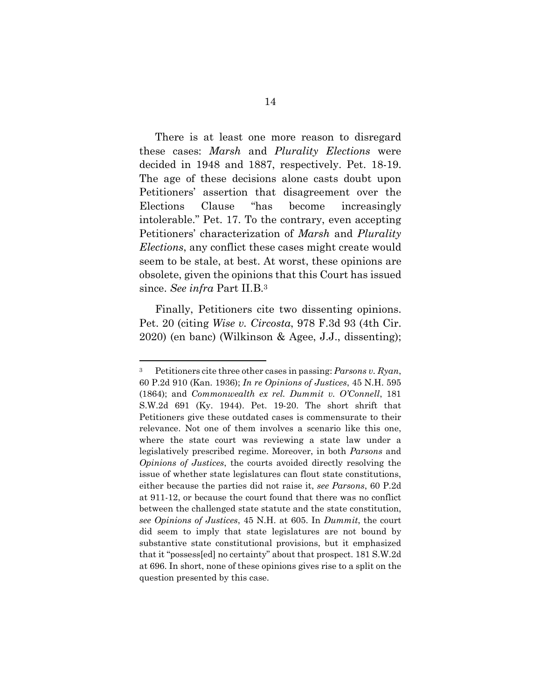There is at least one more reason to disregard these cases: *Marsh* and *Plurality Elections* were decided in 1948 and 1887, respectively. Pet. 18-19. The age of these decisions alone casts doubt upon Petitioners' assertion that disagreement over the Elections Clause "has become increasingly intolerable." Pet. 17. To the contrary, even accepting Petitioners' characterization of *Marsh* and *Plurality Elections*, any conflict these cases might create would seem to be stale, at best. At worst, these opinions are obsolete, given the opinions that this Court has issued since. *See infra* Part II.B.3

Finally, Petitioners cite two dissenting opinions. Pet. 20 (citing *Wise v. Circosta*, 978 F.3d 93 (4th Cir. 2020) (en banc) (Wilkinson & Agee, J.J., dissenting);

 $\ddot{\phantom{a}}$ 

<sup>3</sup> Petitioners cite three other cases in passing: *Parsons v. Ryan*, 60 P.2d 910 (Kan. 1936); *In re Opinions of Justices*, 45 N.H. 595 (1864); and *Commonwealth ex rel. Dummit v. O'Connell*, 181 S.W.2d 691 (Ky. 1944). Pet. 19-20. The short shrift that Petitioners give these outdated cases is commensurate to their relevance. Not one of them involves a scenario like this one, where the state court was reviewing a state law under a legislatively prescribed regime. Moreover, in both *Parsons* and *Opinions of Justices*, the courts avoided directly resolving the issue of whether state legislatures can flout state constitutions, either because the parties did not raise it, *see Parsons*, 60 P.2d at 911-12, or because the court found that there was no conflict between the challenged state statute and the state constitution, *see Opinions of Justices*, 45 N.H. at 605. In *Dummit*, the court did seem to imply that state legislatures are not bound by substantive state constitutional provisions, but it emphasized that it "possess[ed] no certainty" about that prospect. 181 S.W.2d at 696. In short, none of these opinions gives rise to a split on the question presented by this case.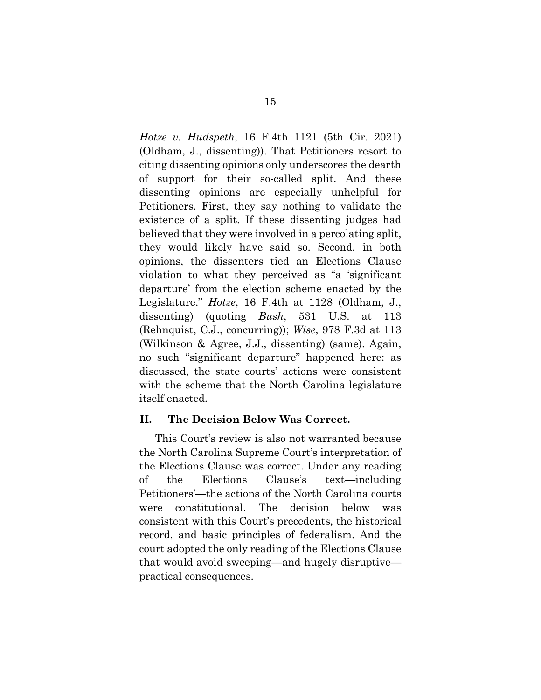*Hotze v. Hudspeth*, 16 F.4th 1121 (5th Cir. 2021) (Oldham, J., dissenting)). That Petitioners resort to citing dissenting opinions only underscores the dearth of support for their so-called split. And these dissenting opinions are especially unhelpful for Petitioners. First, they say nothing to validate the existence of a split. If these dissenting judges had believed that they were involved in a percolating split, they would likely have said so. Second, in both opinions, the dissenters tied an Elections Clause violation to what they perceived as "a 'significant departure' from the election scheme enacted by the Legislature." *Hotze*, 16 F.4th at 1128 (Oldham, J., dissenting) (quoting *Bush*, 531 U.S. at 113 (Rehnquist, C.J., concurring)); *Wise*, 978 F.3d at 113 (Wilkinson & Agree, J.J., dissenting) (same). Again, no such "significant departure" happened here: as discussed, the state courts' actions were consistent with the scheme that the North Carolina legislature itself enacted.

#### **II. The Decision Below Was Correct.**

This Court's review is also not warranted because the North Carolina Supreme Court's interpretation of the Elections Clause was correct. Under any reading of the Elections Clause's text—including Petitioners'—the actions of the North Carolina courts were constitutional. The decision below was consistent with this Court's precedents, the historical record, and basic principles of federalism. And the court adopted the only reading of the Elections Clause that would avoid sweeping—and hugely disruptive practical consequences.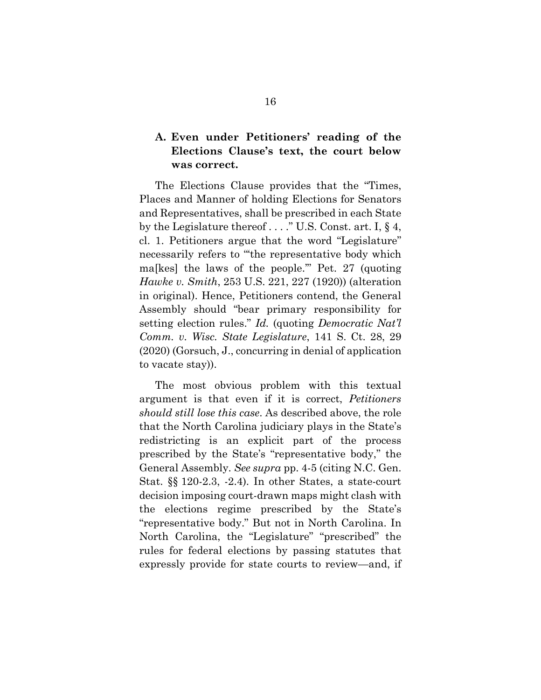## **A. Even under Petitioners' reading of the Elections Clause's text, the court below was correct.**

The Elections Clause provides that the "Times, Places and Manner of holding Elections for Senators and Representatives, shall be prescribed in each State by the Legislature thereof . . . ." U.S. Const. art. I, § 4, cl. 1. Petitioners argue that the word "Legislature" necessarily refers to "'the representative body which ma[kes] the laws of the people.'" Pet. 27 (quoting *Hawke v. Smith*, 253 U.S. 221, 227 (1920)) (alteration in original). Hence, Petitioners contend, the General Assembly should "bear primary responsibility for setting election rules." *Id.* (quoting *Democratic Nat'l Comm. v. Wisc. State Legislature*, 141 S. Ct. 28, 29 (2020) (Gorsuch, J., concurring in denial of application to vacate stay)).

The most obvious problem with this textual argument is that even if it is correct, *Petitioners should still lose this case*. As described above, the role that the North Carolina judiciary plays in the State's redistricting is an explicit part of the process prescribed by the State's "representative body," the General Assembly. *See supra* pp. 4-5 (citing N.C. Gen. Stat. §§ 120-2.3, -2.4). In other States, a state-court decision imposing court-drawn maps might clash with the elections regime prescribed by the State's "representative body." But not in North Carolina. In North Carolina, the "Legislature" "prescribed" the rules for federal elections by passing statutes that expressly provide for state courts to review—and, if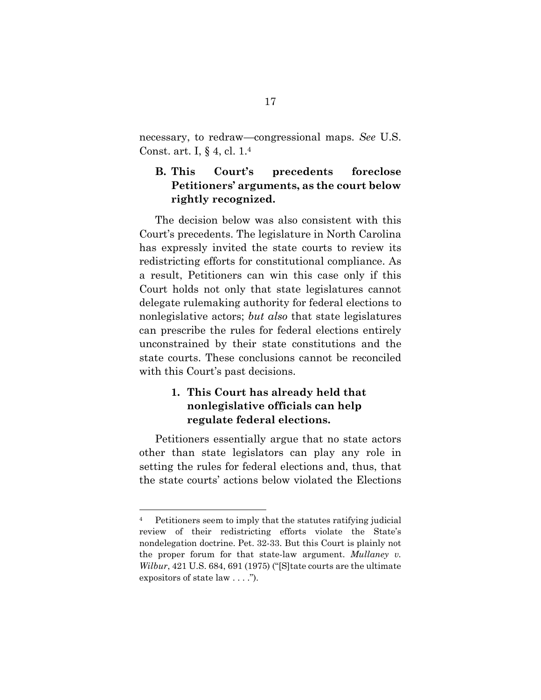necessary, to redraw—congressional maps. *See* U.S. Const. art. I, § 4, cl. 1.4

## **B. This Court's precedents foreclose Petitioners' arguments, as the court below rightly recognized.**

The decision below was also consistent with this Court's precedents. The legislature in North Carolina has expressly invited the state courts to review its redistricting efforts for constitutional compliance. As a result, Petitioners can win this case only if this Court holds not only that state legislatures cannot delegate rulemaking authority for federal elections to nonlegislative actors; *but also* that state legislatures can prescribe the rules for federal elections entirely unconstrained by their state constitutions and the state courts. These conclusions cannot be reconciled with this Court's past decisions.

## **1. This Court has already held that nonlegislative officials can help regulate federal elections.**

Petitioners essentially argue that no state actors other than state legislators can play any role in setting the rules for federal elections and, thus, that the state courts' actions below violated the Elections

 $\overline{a}$ 

<sup>4</sup> Petitioners seem to imply that the statutes ratifying judicial review of their redistricting efforts violate the State's nondelegation doctrine. Pet. 32-33. But this Court is plainly not the proper forum for that state-law argument. *Mullaney v. Wilbur*, 421 U.S. 684, 691 (1975) ("[S]tate courts are the ultimate expositors of state law . . . .").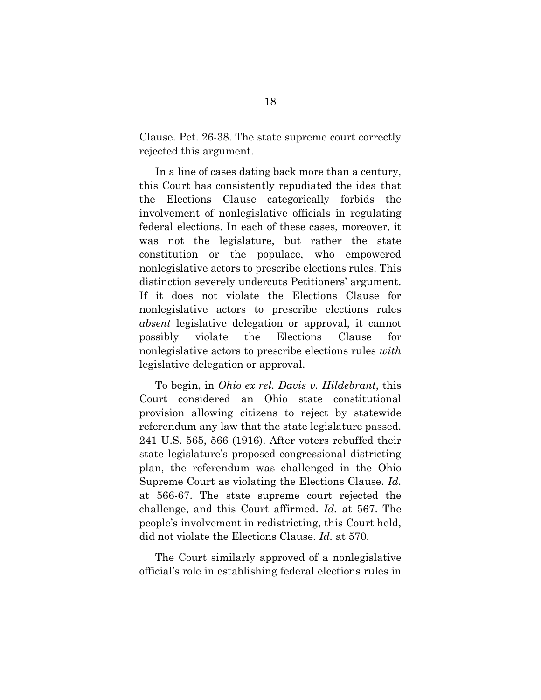Clause. Pet. 26-38. The state supreme court correctly rejected this argument.

In a line of cases dating back more than a century, this Court has consistently repudiated the idea that the Elections Clause categorically forbids the involvement of nonlegislative officials in regulating federal elections. In each of these cases, moreover, it was not the legislature, but rather the state constitution or the populace, who empowered nonlegislative actors to prescribe elections rules. This distinction severely undercuts Petitioners' argument. If it does not violate the Elections Clause for nonlegislative actors to prescribe elections rules *absent* legislative delegation or approval, it cannot possibly violate the Elections Clause for nonlegislative actors to prescribe elections rules *with* legislative delegation or approval.

To begin, in *Ohio ex rel. Davis v. Hildebrant*, this Court considered an Ohio state constitutional provision allowing citizens to reject by statewide referendum any law that the state legislature passed. 241 U.S. 565, 566 (1916). After voters rebuffed their state legislature's proposed congressional districting plan, the referendum was challenged in the Ohio Supreme Court as violating the Elections Clause. *Id.*  at 566-67. The state supreme court rejected the challenge, and this Court affirmed. *Id.* at 567. The people's involvement in redistricting, this Court held, did not violate the Elections Clause. *Id.* at 570.

The Court similarly approved of a nonlegislative official's role in establishing federal elections rules in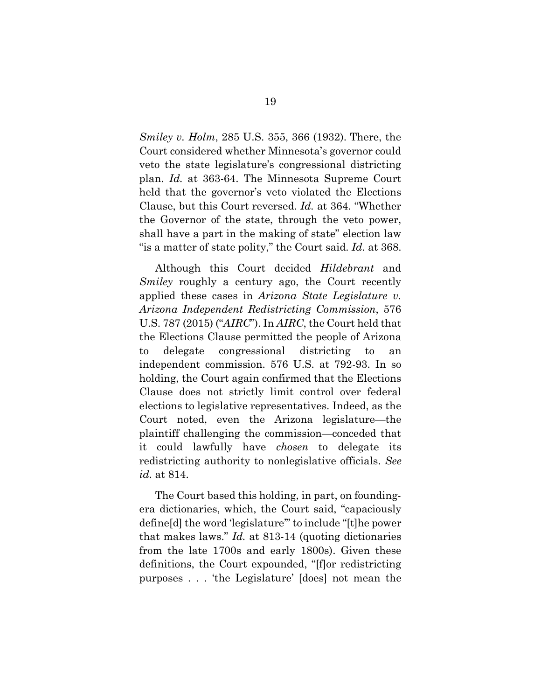*Smiley v. Holm*, 285 U.S. 355, 366 (1932). There, the Court considered whether Minnesota's governor could veto the state legislature's congressional districting plan. *Id.* at 363-64. The Minnesota Supreme Court held that the governor's veto violated the Elections Clause, but this Court reversed. *Id.* at 364. "Whether the Governor of the state, through the veto power, shall have a part in the making of state" election law "is a matter of state polity," the Court said. *Id.* at 368.

Although this Court decided *Hildebrant* and *Smiley* roughly a century ago, the Court recently applied these cases in *Arizona State Legislature v. Arizona Independent Redistricting Commission*, 576 U.S. 787 (2015) ("*AIRC*"). In *AIRC*, the Court held that the Elections Clause permitted the people of Arizona to delegate congressional districting to an independent commission. 576 U.S. at 792-93. In so holding, the Court again confirmed that the Elections Clause does not strictly limit control over federal elections to legislative representatives. Indeed, as the Court noted, even the Arizona legislature—the plaintiff challenging the commission—conceded that it could lawfully have *chosen* to delegate its redistricting authority to nonlegislative officials. *See id.* at 814.

The Court based this holding, in part, on foundingera dictionaries, which, the Court said, "capaciously define[d] the word 'legislature'" to include "[t]he power that makes laws." *Id.* at 813-14 (quoting dictionaries from the late 1700s and early 1800s). Given these definitions, the Court expounded, "[f]or redistricting purposes . . . 'the Legislature' [does] not mean the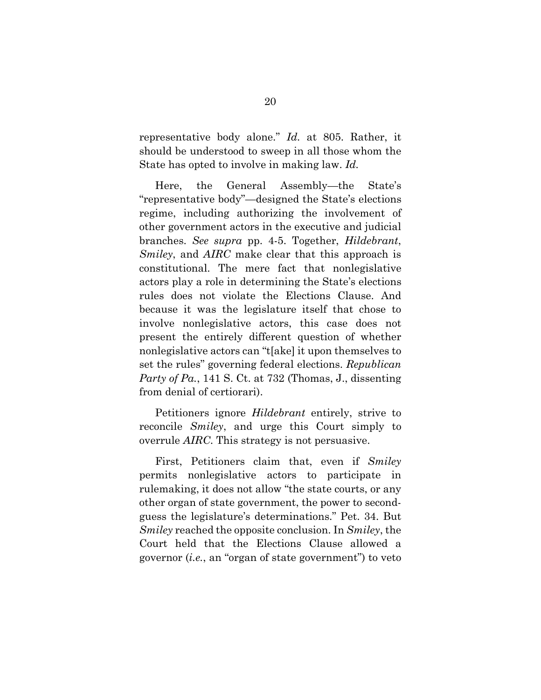representative body alone." *Id.* at 805. Rather, it should be understood to sweep in all those whom the State has opted to involve in making law. *Id.*

Here, the General Assembly—the State's "representative body"—designed the State's elections regime, including authorizing the involvement of other government actors in the executive and judicial branches. *See supra* pp. 4-5. Together, *Hildebrant*, *Smiley*, and *AIRC* make clear that this approach is constitutional. The mere fact that nonlegislative actors play a role in determining the State's elections rules does not violate the Elections Clause. And because it was the legislature itself that chose to involve nonlegislative actors, this case does not present the entirely different question of whether nonlegislative actors can "t[ake] it upon themselves to set the rules" governing federal elections. *Republican Party of Pa.*, 141 S. Ct. at 732 (Thomas, J., dissenting from denial of certiorari).

Petitioners ignore *Hildebrant* entirely, strive to reconcile *Smiley*, and urge this Court simply to overrule *AIRC*. This strategy is not persuasive.

First, Petitioners claim that, even if *Smiley* permits nonlegislative actors to participate in rulemaking, it does not allow "the state courts, or any other organ of state government, the power to secondguess the legislature's determinations." Pet. 34. But *Smiley* reached the opposite conclusion. In *Smiley*, the Court held that the Elections Clause allowed a governor (*i.e.*, an "organ of state government") to veto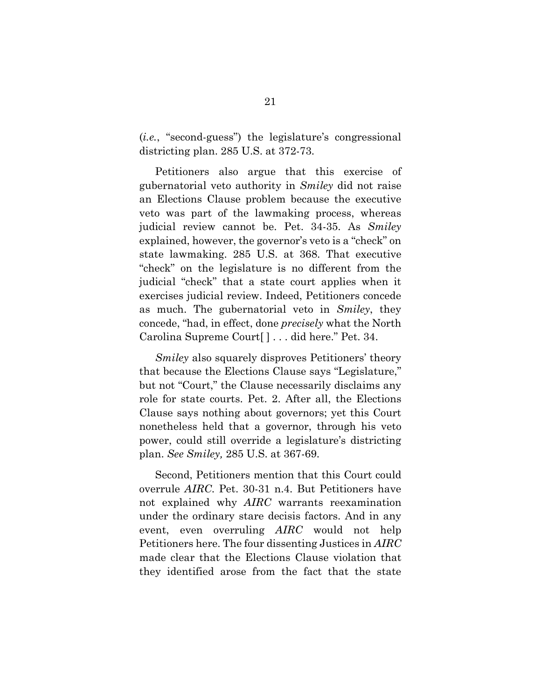(*i.e.*, "second-guess") the legislature's congressional districting plan. 285 U.S. at 372-73.

Petitioners also argue that this exercise of gubernatorial veto authority in *Smiley* did not raise an Elections Clause problem because the executive veto was part of the lawmaking process, whereas judicial review cannot be. Pet. 34-35. As *Smiley* explained, however, the governor's veto is a "check" on state lawmaking. 285 U.S. at 368. That executive "check" on the legislature is no different from the judicial "check" that a state court applies when it exercises judicial review. Indeed, Petitioners concede as much. The gubernatorial veto in *Smiley*, they concede, "had, in effect, done *precisely* what the North Carolina Supreme Court[ ] . . . did here." Pet. 34.

*Smiley* also squarely disproves Petitioners' theory that because the Elections Clause says "Legislature," but not "Court," the Clause necessarily disclaims any role for state courts. Pet. 2. After all, the Elections Clause says nothing about governors; yet this Court nonetheless held that a governor, through his veto power, could still override a legislature's districting plan. *See Smiley,* 285 U.S. at 367-69.

Second, Petitioners mention that this Court could overrule *AIRC*. Pet. 30-31 n.4. But Petitioners have not explained why *AIRC* warrants reexamination under the ordinary stare decisis factors. And in any event, even overruling *AIRC* would not help Petitioners here. The four dissenting Justices in *AIRC*  made clear that the Elections Clause violation that they identified arose from the fact that the state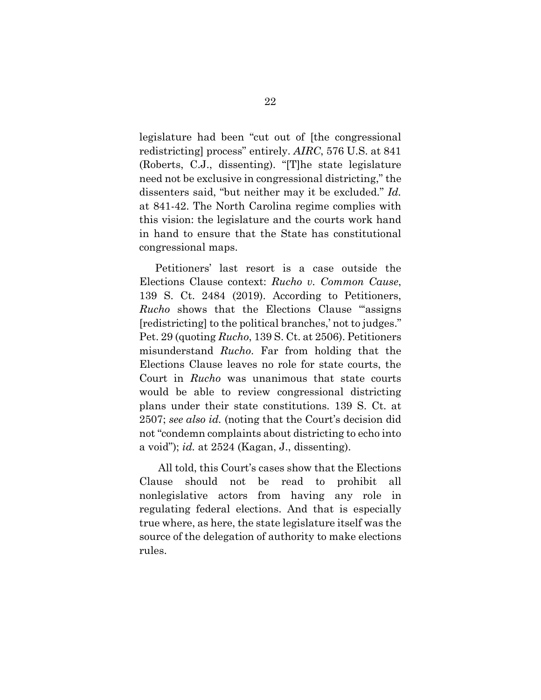legislature had been "cut out of [the congressional redistricting] process" entirely. *AIRC*, 576 U.S. at 841 (Roberts, C.J., dissenting). "[T]he state legislature need not be exclusive in congressional districting," the dissenters said, "but neither may it be excluded." *Id.*  at 841-42. The North Carolina regime complies with this vision: the legislature and the courts work hand in hand to ensure that the State has constitutional congressional maps.

Petitioners' last resort is a case outside the Elections Clause context: *Rucho v. Common Cause*, 139 S. Ct. 2484 (2019). According to Petitioners, *Rucho* shows that the Elections Clause "assigns" [redistricting] to the political branches,' not to judges." Pet. 29 (quoting *Rucho*, 139 S. Ct. at 2506). Petitioners misunderstand *Rucho*. Far from holding that the Elections Clause leaves no role for state courts, the Court in *Rucho* was unanimous that state courts would be able to review congressional districting plans under their state constitutions. 139 S. Ct. at 2507; *see also id.* (noting that the Court's decision did not "condemn complaints about districting to echo into a void"); *id.* at 2524 (Kagan, J., dissenting).

All told, this Court's cases show that the Elections Clause should not be read to prohibit all nonlegislative actors from having any role in regulating federal elections. And that is especially true where, as here, the state legislature itself was the source of the delegation of authority to make elections rules.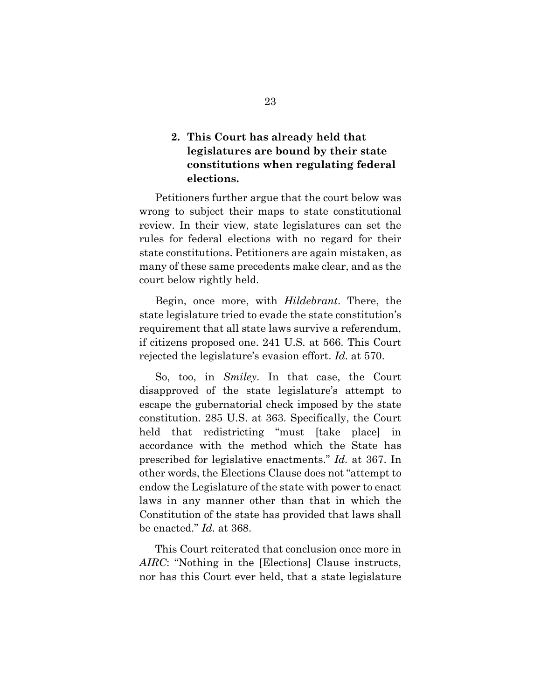## **2. This Court has already held that legislatures are bound by their state constitutions when regulating federal elections.**

Petitioners further argue that the court below was wrong to subject their maps to state constitutional review. In their view, state legislatures can set the rules for federal elections with no regard for their state constitutions. Petitioners are again mistaken, as many of these same precedents make clear, and as the court below rightly held.

Begin, once more, with *Hildebrant*. There, the state legislature tried to evade the state constitution's requirement that all state laws survive a referendum, if citizens proposed one. 241 U.S. at 566. This Court rejected the legislature's evasion effort. *Id.* at 570.

So, too, in *Smiley*. In that case, the Court disapproved of the state legislature's attempt to escape the gubernatorial check imposed by the state constitution. 285 U.S. at 363. Specifically, the Court held that redistricting "must [take place] in accordance with the method which the State has prescribed for legislative enactments." *Id.* at 367. In other words, the Elections Clause does not "attempt to endow the Legislature of the state with power to enact laws in any manner other than that in which the Constitution of the state has provided that laws shall be enacted." *Id.* at 368.

This Court reiterated that conclusion once more in *AIRC*: "Nothing in the [Elections] Clause instructs, nor has this Court ever held, that a state legislature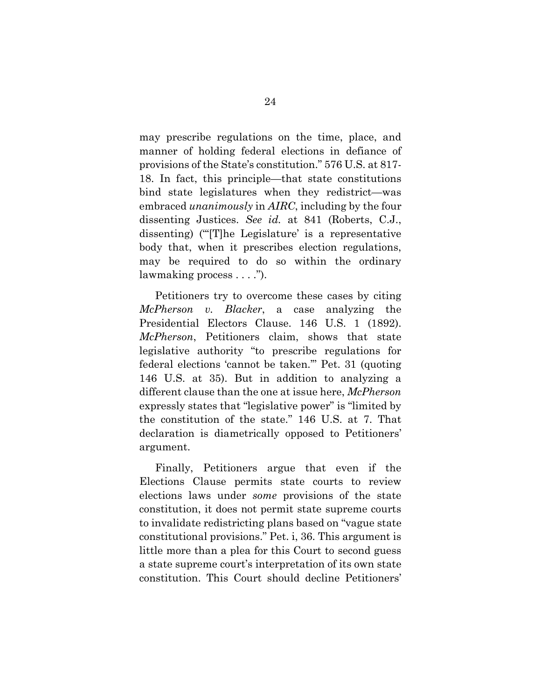may prescribe regulations on the time, place, and manner of holding federal elections in defiance of provisions of the State's constitution." 576 U.S. at 817- 18. In fact, this principle—that state constitutions bind state legislatures when they redistrict—was embraced *unanimously* in *AIRC*, including by the four dissenting Justices. *See id.* at 841 (Roberts, C.J., dissenting) ("'[T]he Legislature' is a representative body that, when it prescribes election regulations, may be required to do so within the ordinary lawmaking process . . . .").

Petitioners try to overcome these cases by citing *McPherson v. Blacker*, a case analyzing the Presidential Electors Clause. 146 U.S. 1 (1892). *McPherson*, Petitioners claim, shows that state legislative authority "to prescribe regulations for federal elections 'cannot be taken.'" Pet. 31 (quoting 146 U.S. at 35). But in addition to analyzing a different clause than the one at issue here, *McPherson* expressly states that "legislative power" is "limited by the constitution of the state." 146 U.S. at 7. That declaration is diametrically opposed to Petitioners' argument.

Finally, Petitioners argue that even if the Elections Clause permits state courts to review elections laws under *some* provisions of the state constitution, it does not permit state supreme courts to invalidate redistricting plans based on "vague state constitutional provisions." Pet. i, 36. This argument is little more than a plea for this Court to second guess a state supreme court's interpretation of its own state constitution. This Court should decline Petitioners'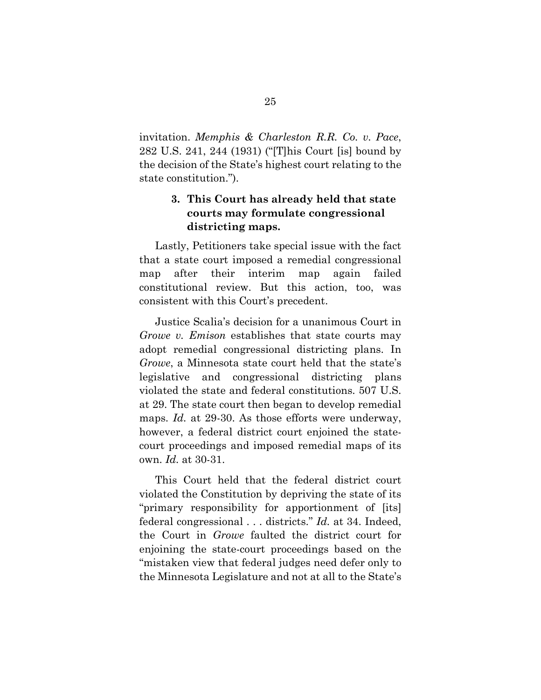invitation. *Memphis & Charleston R.R. Co. v. Pace*, 282 U.S. 241, 244 (1931) ("[T]his Court [is] bound by the decision of the State's highest court relating to the state constitution.").

## **3. This Court has already held that state courts may formulate congressional districting maps.**

Lastly, Petitioners take special issue with the fact that a state court imposed a remedial congressional map after their interim map again failed constitutional review. But this action, too, was consistent with this Court's precedent.

Justice Scalia's decision for a unanimous Court in *Growe v. Emison* establishes that state courts may adopt remedial congressional districting plans. In *Growe*, a Minnesota state court held that the state's legislative and congressional districting plans violated the state and federal constitutions. 507 U.S. at 29. The state court then began to develop remedial maps. *Id.* at 29-30. As those efforts were underway, however, a federal district court enjoined the statecourt proceedings and imposed remedial maps of its own. *Id.* at 30-31.

This Court held that the federal district court violated the Constitution by depriving the state of its "primary responsibility for apportionment of [its] federal congressional . . . districts." *Id.* at 34. Indeed, the Court in *Growe* faulted the district court for enjoining the state-court proceedings based on the "mistaken view that federal judges need defer only to the Minnesota Legislature and not at all to the State's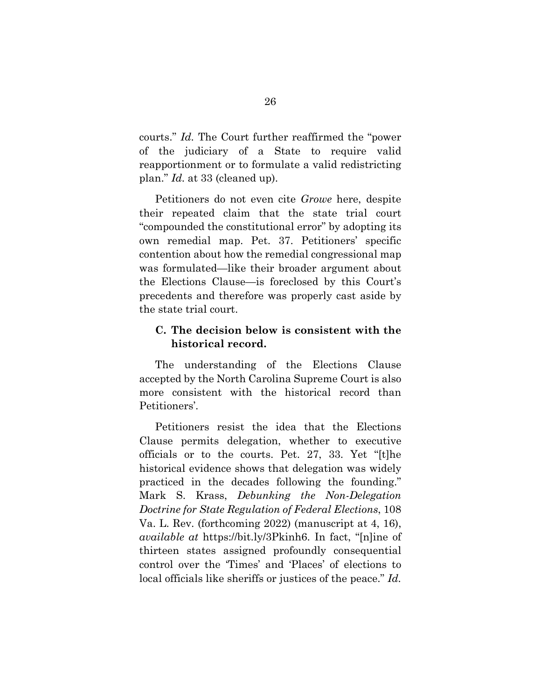courts." *Id.* The Court further reaffirmed the "power of the judiciary of a State to require valid reapportionment or to formulate a valid redistricting plan." *Id.* at 33 (cleaned up).

Petitioners do not even cite *Growe* here, despite their repeated claim that the state trial court "compounded the constitutional error" by adopting its own remedial map. Pet. 37. Petitioners' specific contention about how the remedial congressional map was formulated—like their broader argument about the Elections Clause—is foreclosed by this Court's precedents and therefore was properly cast aside by the state trial court.

#### **C. The decision below is consistent with the historical record.**

The understanding of the Elections Clause accepted by the North Carolina Supreme Court is also more consistent with the historical record than Petitioners'.

Petitioners resist the idea that the Elections Clause permits delegation, whether to executive officials or to the courts. Pet. 27, 33. Yet "[t]he historical evidence shows that delegation was widely practiced in the decades following the founding." Mark S. Krass, *Debunking the Non-Delegation Doctrine for State Regulation of Federal Elections*, 108 Va. L. Rev. (forthcoming 2022) (manuscript at 4, 16), *available at* https://bit.ly/3Pkinh6. In fact, "[n]ine of thirteen states assigned profoundly consequential control over the 'Times' and 'Places' of elections to local officials like sheriffs or justices of the peace." *Id.*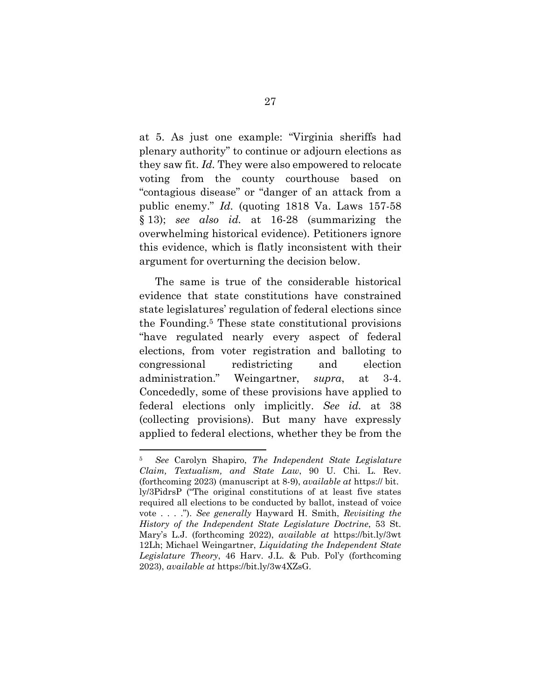at 5. As just one example: "Virginia sheriffs had plenary authority" to continue or adjourn elections as they saw fit. *Id.* They were also empowered to relocate voting from the county courthouse based on "contagious disease" or "danger of an attack from a public enemy." *Id.* (quoting 1818 Va. Laws 157-58 § 13); *see also id.* at 16-28 (summarizing the overwhelming historical evidence). Petitioners ignore this evidence, which is flatly inconsistent with their argument for overturning the decision below.

The same is true of the considerable historical evidence that state constitutions have constrained state legislatures' regulation of federal elections since the Founding.5 These state constitutional provisions "have regulated nearly every aspect of federal elections, from voter registration and balloting to congressional redistricting and election administration." Weingartner, *supra*, at 3-4. Concededly, some of these provisions have applied to federal elections only implicitly. *See id.* at 38 (collecting provisions). But many have expressly applied to federal elections, whether they be from the

 $\overline{a}$ 

<sup>5</sup> *See* Carolyn Shapiro, *The Independent State Legislature Claim, Textualism, and State Law*, 90 U. Chi. L. Rev. (forthcoming 2023) (manuscript at 8-9), *available at* https:// bit. ly/3PidrsP ("The original constitutions of at least five states required all elections to be conducted by ballot, instead of voice vote . . . ."). *See generally* Hayward H. Smith, *Revisiting the History of the Independent State Legislature Doctrine*, 53 St. Mary's L.J. (forthcoming 2022), *available at* https://bit.ly/3wt 12Lh; Michael Weingartner, *Liquidating the Independent State Legislature Theory*, 46 Harv. J.L. & Pub. Pol'y (forthcoming 2023), *available at* https://bit.ly/3w4XZsG.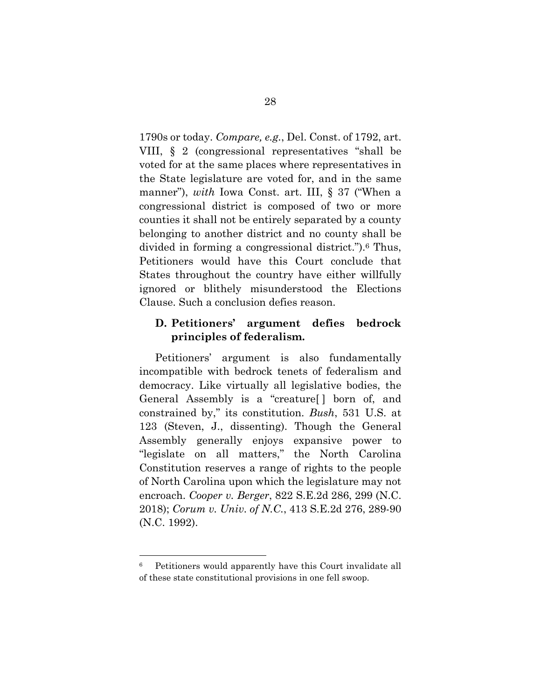1790s or today. *Compare, e.g.*, Del. Const. of 1792, art. VIII, § 2 (congressional representatives "shall be voted for at the same places where representatives in the State legislature are voted for, and in the same manner"), *with* Iowa Const. art. III, § 37 ("When a congressional district is composed of two or more counties it shall not be entirely separated by a county belonging to another district and no county shall be divided in forming a congressional district.").6 Thus, Petitioners would have this Court conclude that States throughout the country have either willfully ignored or blithely misunderstood the Elections Clause. Such a conclusion defies reason.

### **D. Petitioners' argument defies bedrock principles of federalism.**

Petitioners' argument is also fundamentally incompatible with bedrock tenets of federalism and democracy. Like virtually all legislative bodies, the General Assembly is a "creature[ ] born of, and constrained by," its constitution. *Bush*, 531 U.S. at 123 (Steven, J., dissenting). Though the General Assembly generally enjoys expansive power to "legislate on all matters," the North Carolina Constitution reserves a range of rights to the people of North Carolina upon which the legislature may not encroach. *Cooper v. Berger*, 822 S.E.2d 286, 299 (N.C. 2018); *Corum v. Univ. of N.C.*, 413 S.E.2d 276, 289-90 (N.C. 1992).

 $\ddot{\phantom{a}}$ 

<sup>6</sup> Petitioners would apparently have this Court invalidate all of these state constitutional provisions in one fell swoop.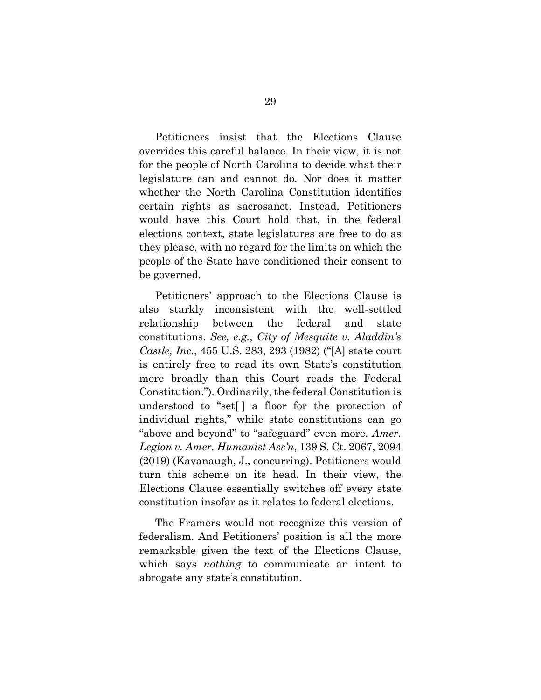Petitioners insist that the Elections Clause overrides this careful balance. In their view, it is not for the people of North Carolina to decide what their legislature can and cannot do. Nor does it matter whether the North Carolina Constitution identifies certain rights as sacrosanct. Instead, Petitioners would have this Court hold that, in the federal elections context, state legislatures are free to do as they please, with no regard for the limits on which the people of the State have conditioned their consent to be governed.

Petitioners' approach to the Elections Clause is also starkly inconsistent with the well-settled relationship between the federal and state constitutions. *See, e.g.*, *City of Mesquite v. Aladdin's Castle, Inc.*, 455 U.S. 283, 293 (1982) ("[A] state court is entirely free to read its own State's constitution more broadly than this Court reads the Federal Constitution."). Ordinarily, the federal Constitution is understood to "set[ ] a floor for the protection of individual rights," while state constitutions can go "above and beyond" to "safeguard" even more. *Amer. Legion v. Amer. Humanist Ass'n*, 139 S. Ct. 2067, 2094 (2019) (Kavanaugh, J., concurring). Petitioners would turn this scheme on its head. In their view, the Elections Clause essentially switches off every state constitution insofar as it relates to federal elections.

The Framers would not recognize this version of federalism. And Petitioners' position is all the more remarkable given the text of the Elections Clause, which says *nothing* to communicate an intent to abrogate any state's constitution.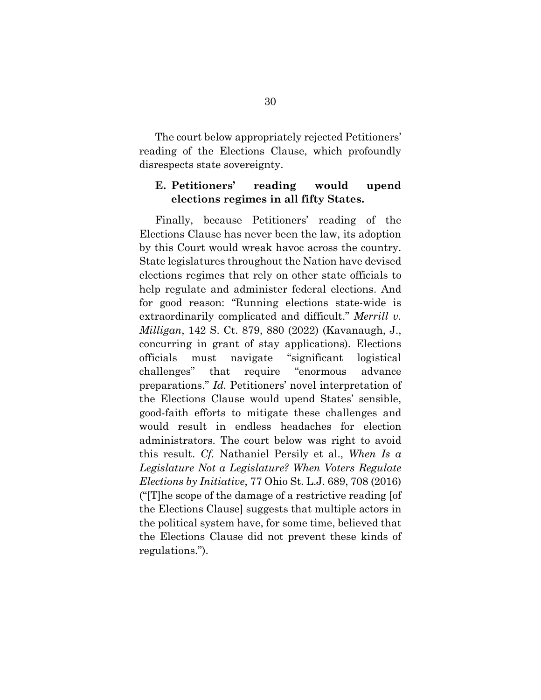The court below appropriately rejected Petitioners' reading of the Elections Clause, which profoundly disrespects state sovereignty.

### **E. Petitioners' reading would upend elections regimes in all fifty States.**

Finally, because Petitioners' reading of the Elections Clause has never been the law, its adoption by this Court would wreak havoc across the country. State legislatures throughout the Nation have devised elections regimes that rely on other state officials to help regulate and administer federal elections. And for good reason: "Running elections state-wide is extraordinarily complicated and difficult." *Merrill v. Milligan*, 142 S. Ct. 879, 880 (2022) (Kavanaugh, J., concurring in grant of stay applications). Elections officials must navigate "significant logistical challenges" that require "enormous advance preparations." *Id.* Petitioners' novel interpretation of the Elections Clause would upend States' sensible, good-faith efforts to mitigate these challenges and would result in endless headaches for election administrators. The court below was right to avoid this result. *Cf.* Nathaniel Persily et al., *When Is a Legislature Not a Legislature? When Voters Regulate Elections by Initiative*, 77 Ohio St. L.J. 689, 708 (2016) ("[T]he scope of the damage of a restrictive reading [of the Elections Clause] suggests that multiple actors in the political system have, for some time, believed that the Elections Clause did not prevent these kinds of regulations.").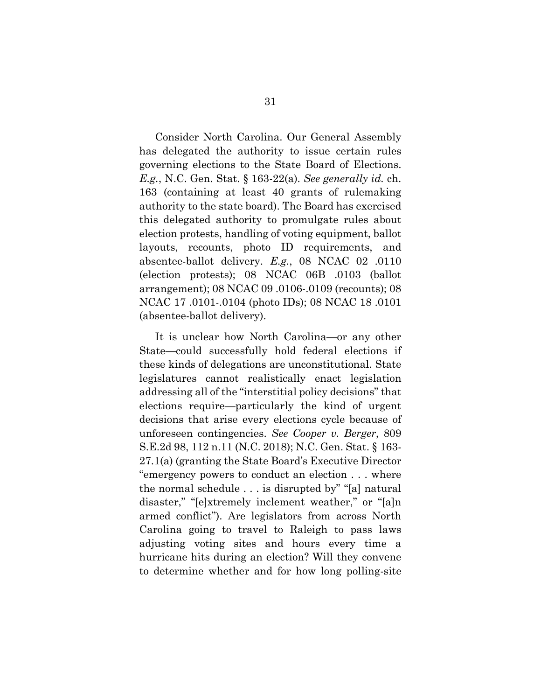Consider North Carolina. Our General Assembly has delegated the authority to issue certain rules governing elections to the State Board of Elections. *E.g.*, N.C. Gen. Stat. § 163-22(a). *See generally id.* ch. 163 (containing at least 40 grants of rulemaking authority to the state board). The Board has exercised this delegated authority to promulgate rules about election protests, handling of voting equipment, ballot layouts, recounts, photo ID requirements, and absentee-ballot delivery. *E.g.*, 08 NCAC 02 .0110 (election protests); 08 NCAC 06B .0103 (ballot arrangement); 08 NCAC 09 .0106-.0109 (recounts); 08 NCAC 17 .0101-.0104 (photo IDs); 08 NCAC 18 .0101 (absentee-ballot delivery).

It is unclear how North Carolina—or any other State—could successfully hold federal elections if these kinds of delegations are unconstitutional. State legislatures cannot realistically enact legislation addressing all of the "interstitial policy decisions" that elections require—particularly the kind of urgent decisions that arise every elections cycle because of unforeseen contingencies. *See Cooper v. Berger*, 809 S.E.2d 98, 112 n.11 (N.C. 2018); N.C. Gen. Stat. § 163- 27.1(a) (granting the State Board's Executive Director "emergency powers to conduct an election . . . where the normal schedule . . . is disrupted by" "[a] natural disaster," "[e]xtremely inclement weather," or "[a]n armed conflict"). Are legislators from across North Carolina going to travel to Raleigh to pass laws adjusting voting sites and hours every time a hurricane hits during an election? Will they convene to determine whether and for how long polling-site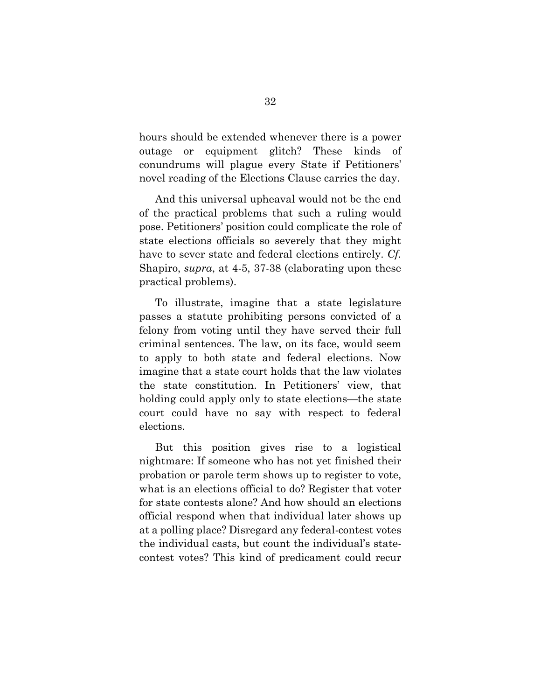hours should be extended whenever there is a power outage or equipment glitch? These kinds conundrums will plague every State if Petitioners' novel reading of the Elections Clause carries the day.

And this universal upheaval would not be the end of the practical problems that such a ruling would pose. Petitioners' position could complicate the role of state elections officials so severely that they might have to sever state and federal elections entirely. *Cf.*  Shapiro, *supra*, at 4-5, 37-38 (elaborating upon these practical problems).

To illustrate, imagine that a state legislature passes a statute prohibiting persons convicted of a felony from voting until they have served their full criminal sentences. The law, on its face, would seem to apply to both state and federal elections. Now imagine that a state court holds that the law violates the state constitution. In Petitioners' view, that holding could apply only to state elections—the state court could have no say with respect to federal elections.

But this position gives rise to a logistical nightmare: If someone who has not yet finished their probation or parole term shows up to register to vote, what is an elections official to do? Register that voter for state contests alone? And how should an elections official respond when that individual later shows up at a polling place? Disregard any federal-contest votes the individual casts, but count the individual's statecontest votes? This kind of predicament could recur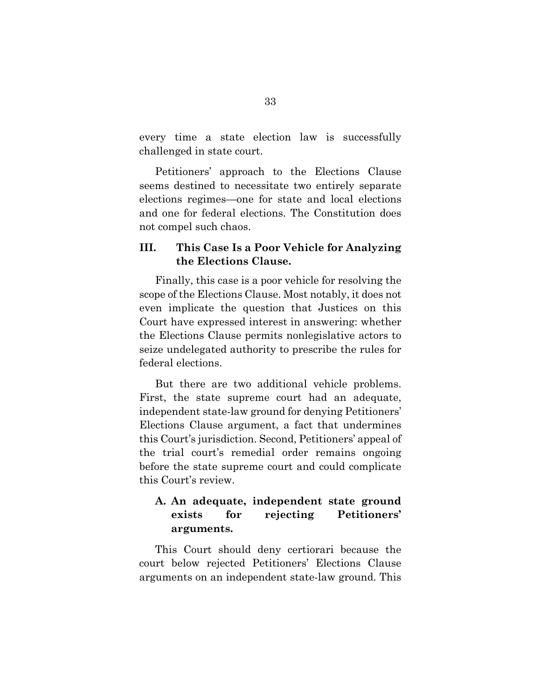every time a state election law is successfully challenged in state court.

Petitioners' approach to the Elections Clause seems destined to necessitate two entirely separate elections regimes—one for state and local elections and one for federal elections. The Constitution does not compel such chaos.

### **III. This Case Is a Poor Vehicle for Analyzing the Elections Clause.**

Finally, this case is a poor vehicle for resolving the scope of the Elections Clause. Most notably, it does not even implicate the question that Justices on this Court have expressed interest in answering: whether the Elections Clause permits nonlegislative actors to seize undelegated authority to prescribe the rules for federal elections.

But there are two additional vehicle problems. First, the state supreme court had an adequate, independent state-law ground for denying Petitioners' Elections Clause argument, a fact that undermines this Court's jurisdiction. Second, Petitioners' appeal of the trial court's remedial order remains ongoing before the state supreme court and could complicate this Court's review.

## **A. An adequate, independent state ground exists for rejecting Petitioners' arguments.**

This Court should deny certiorari because the court below rejected Petitioners' Elections Clause arguments on an independent state-law ground. This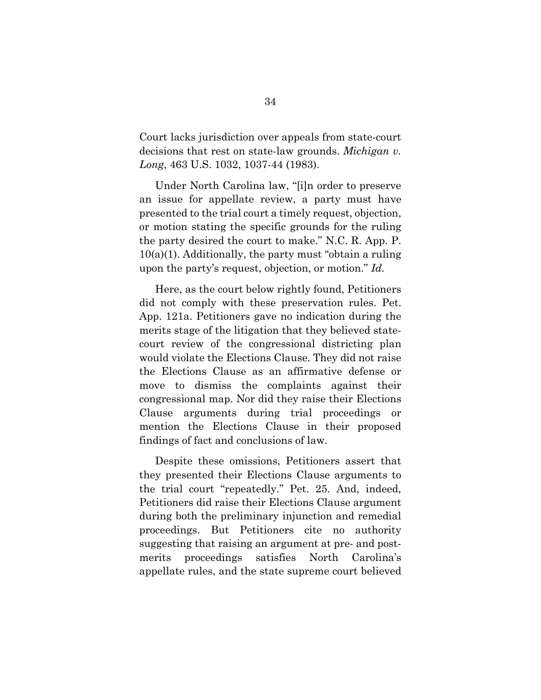Court lacks jurisdiction over appeals from state-court decisions that rest on state-law grounds. *Michigan v. Long*, 463 U.S. 1032, 1037-44 (1983).

Under North Carolina law, "[i]n order to preserve an issue for appellate review, a party must have presented to the trial court a timely request, objection, or motion stating the specific grounds for the ruling the party desired the court to make." N.C. R. App. P.  $10(a)(1)$ . Additionally, the party must "obtain a ruling" upon the party's request, objection, or motion." *Id.*

Here, as the court below rightly found, Petitioners did not comply with these preservation rules. Pet. App. 121a. Petitioners gave no indication during the merits stage of the litigation that they believed statecourt review of the congressional districting plan would violate the Elections Clause. They did not raise the Elections Clause as an affirmative defense or move to dismiss the complaints against their congressional map. Nor did they raise their Elections Clause arguments during trial proceedings or mention the Elections Clause in their proposed findings of fact and conclusions of law.

Despite these omissions, Petitioners assert that they presented their Elections Clause arguments to the trial court "repeatedly." Pet. 25. And, indeed, Petitioners did raise their Elections Clause argument during both the preliminary injunction and remedial proceedings. But Petitioners cite no authority suggesting that raising an argument at pre- and postmerits proceedings satisfies North Carolina's appellate rules, and the state supreme court believed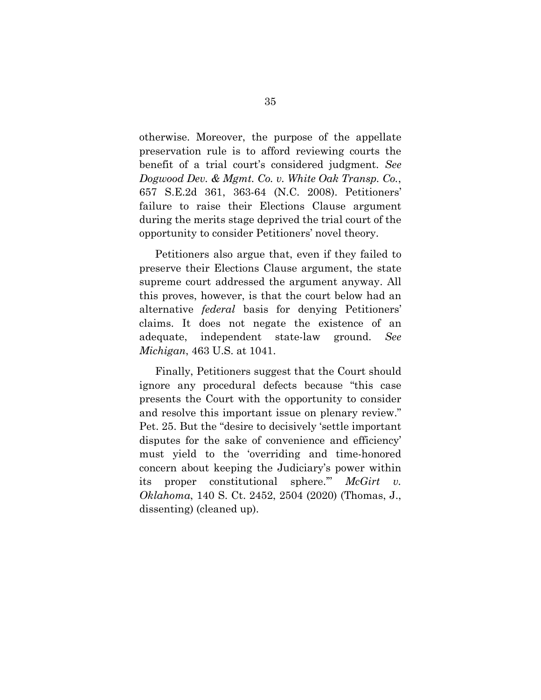otherwise. Moreover, the purpose of the appellate preservation rule is to afford reviewing courts the benefit of a trial court's considered judgment. *See Dogwood Dev. & Mgmt. Co. v. White Oak Transp. Co.*, 657 S.E.2d 361, 363-64 (N.C. 2008). Petitioners' failure to raise their Elections Clause argument during the merits stage deprived the trial court of the opportunity to consider Petitioners' novel theory.

Petitioners also argue that, even if they failed to preserve their Elections Clause argument, the state supreme court addressed the argument anyway. All this proves, however, is that the court below had an alternative *federal* basis for denying Petitioners' claims. It does not negate the existence of an adequate, independent state-law ground. *See Michigan*, 463 U.S. at 1041.

Finally, Petitioners suggest that the Court should ignore any procedural defects because "this case presents the Court with the opportunity to consider and resolve this important issue on plenary review." Pet. 25. But the "desire to decisively 'settle important disputes for the sake of convenience and efficiency' must yield to the 'overriding and time-honored concern about keeping the Judiciary's power within its proper constitutional sphere.'" *McGirt v. Oklahoma*, 140 S. Ct. 2452, 2504 (2020) (Thomas, J., dissenting) (cleaned up).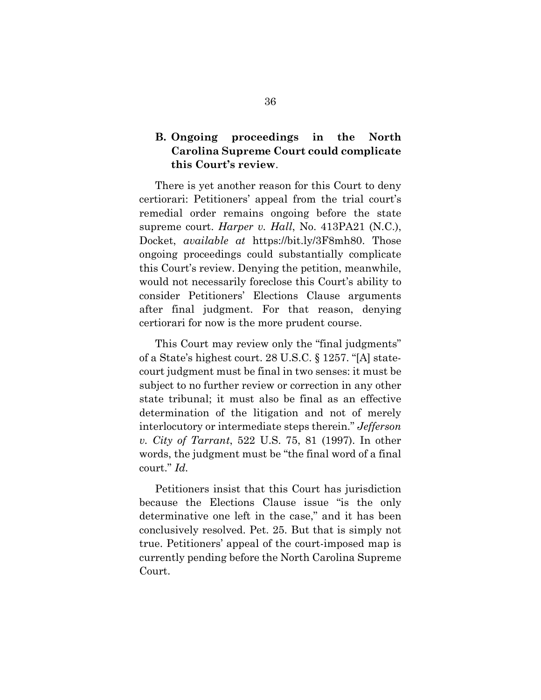## **B. Ongoing proceedings in the North Carolina Supreme Court could complicate this Court's review**.

There is yet another reason for this Court to deny certiorari: Petitioners' appeal from the trial court's remedial order remains ongoing before the state supreme court. *Harper v. Hall*, No. 413PA21 (N.C.), Docket, *available at* https://bit.ly/3F8mh80. Those ongoing proceedings could substantially complicate this Court's review. Denying the petition, meanwhile, would not necessarily foreclose this Court's ability to consider Petitioners' Elections Clause arguments after final judgment. For that reason, denying certiorari for now is the more prudent course.

This Court may review only the "final judgments" of a State's highest court. 28 U.S.C. § 1257. "[A] statecourt judgment must be final in two senses: it must be subject to no further review or correction in any other state tribunal; it must also be final as an effective determination of the litigation and not of merely interlocutory or intermediate steps therein." *Jefferson v. City of Tarrant*, 522 U.S. 75, 81 (1997). In other words, the judgment must be "the final word of a final court." *Id.*

Petitioners insist that this Court has jurisdiction because the Elections Clause issue "is the only determinative one left in the case," and it has been conclusively resolved. Pet. 25. But that is simply not true. Petitioners' appeal of the court-imposed map is currently pending before the North Carolina Supreme Court.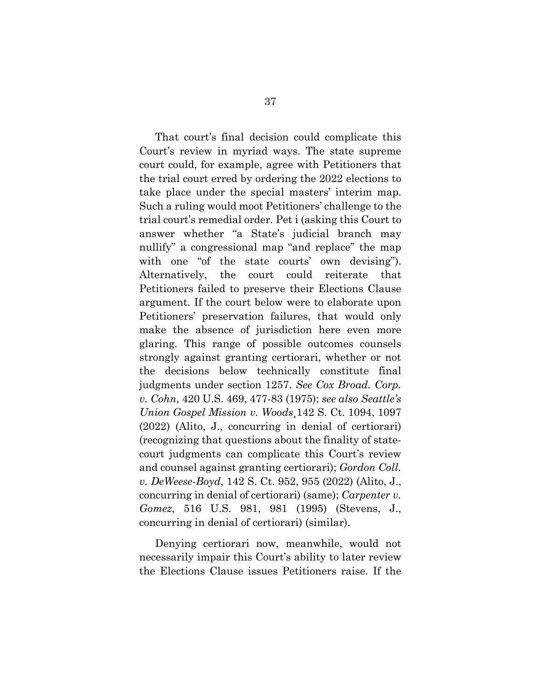That court's final decision could complicate this Court's review in myriad ways. The state supreme court could, for example, agree with Petitioners that the trial court erred by ordering the 2022 elections to take place under the special masters' interim map. Such a ruling would moot Petitioners' challenge to the trial court's remedial order. Pet i (asking this Court to answer whether "a State's judicial branch may nullify" a congressional map "and replace" the map with one "of the state courts' own devising"). Alternatively, the court could reiterate that Petitioners failed to preserve their Elections Clause argument. If the court below were to elaborate upon Petitioners' preservation failures, that would only make the absence of jurisdiction here even more glaring. This range of possible outcomes counsels strongly against granting certiorari, whether or not the decisions below technically constitute final judgments under section 1257. *See Cox Broad. Corp. v. Cohn*, 420 U.S. 469, 477-83 (1975); *see also Seattle's Union Gospel Mission v. Woods*¸142 S. Ct. 1094, 1097 (2022) (Alito, J., concurring in denial of certiorari) (recognizing that questions about the finality of statecourt judgments can complicate this Court's review and counsel against granting certiorari); *Gordon Coll. v. DeWeese-Boyd*, 142 S. Ct. 952, 955 (2022) (Alito, J., concurring in denial of certiorari) (same); *Carpenter v. Gomez*, 516 U.S. 981, 981 (1995) (Stevens, J., concurring in denial of certiorari) (similar).

Denying certiorari now, meanwhile, would not necessarily impair this Court's ability to later review the Elections Clause issues Petitioners raise. If the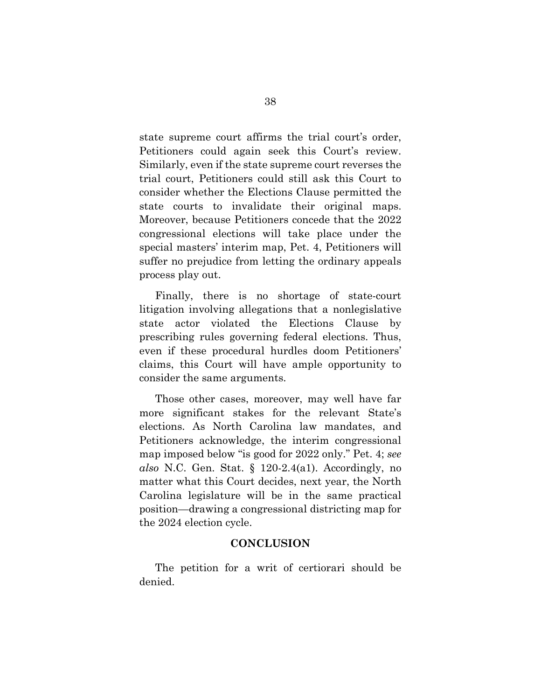state supreme court affirms the trial court's order, Petitioners could again seek this Court's review. Similarly, even if the state supreme court reverses the trial court, Petitioners could still ask this Court to consider whether the Elections Clause permitted the state courts to invalidate their original maps. Moreover, because Petitioners concede that the 2022 congressional elections will take place under the special masters' interim map, Pet. 4, Petitioners will suffer no prejudice from letting the ordinary appeals process play out.

Finally, there is no shortage of state-court litigation involving allegations that a nonlegislative state actor violated the Elections Clause by prescribing rules governing federal elections. Thus, even if these procedural hurdles doom Petitioners' claims, this Court will have ample opportunity to consider the same arguments.

Those other cases, moreover, may well have far more significant stakes for the relevant State's elections. As North Carolina law mandates, and Petitioners acknowledge, the interim congressional map imposed below "is good for 2022 only." Pet. 4; *see also* N.C. Gen. Stat. § 120-2.4(a1). Accordingly, no matter what this Court decides, next year, the North Carolina legislature will be in the same practical position—drawing a congressional districting map for the 2024 election cycle.

#### **CONCLUSION**

The petition for a writ of certiorari should be denied.